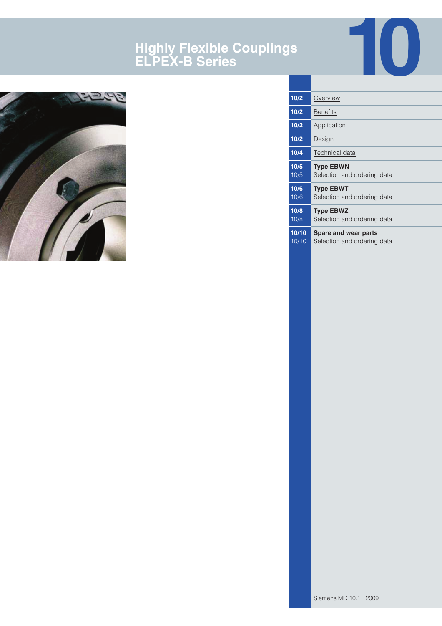# **Highly Flexible Couplings ELPEX-B Series**



| 10/2           | Overview                                            |
|----------------|-----------------------------------------------------|
| 10/2           | <b>Benefits</b>                                     |
| 10/2           | Application                                         |
| 10/2           | Design                                              |
| 10/4           | Technical data                                      |
| 10/5<br>10/5   | <b>Type EBWN</b><br>Selection and ordering data     |
| 10/6<br>10/6   | <b>Type EBWT</b><br>Selection and ordering data     |
| 10/8<br>10/8   | <b>Type EBWZ</b><br>Selection and ordering data     |
| 10/10<br>10/10 | Spare and wear parts<br>Selection and ordering data |

**10**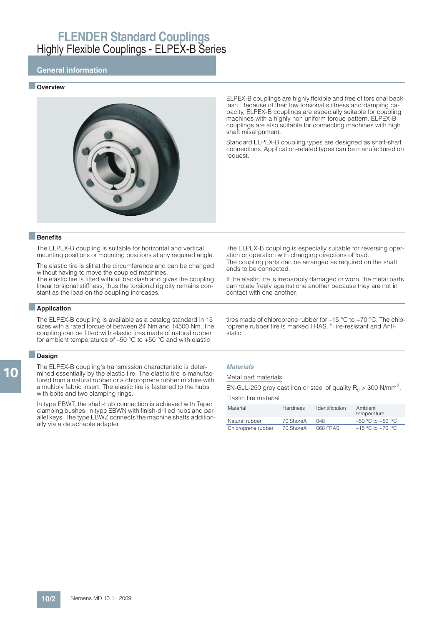**General information**

#### ■ **Overview**



ELPEX-B couplings are highly flexible and free of torsional backlash. Because of their low torsional stiffness and damping capacity, ELPEX-B couplings are especially suitable for coupling machines with a highly non uniform torque pattern. ELPEX-B couplings are also suitable for connecting machines with high shaft misalignment.

Standard ELPEX-B coupling types are designed as shaft-shaft connections. Application-related types can be manufactured on request.

#### ■**Benefits**

The ELPEX-B coupling is suitable for horizontal and vertical mounting positions or mounting positions at any required angle.

The elastic tire is slit at the circumference and can be changed without having to move the coupled machines.

The elastic tire is fitted without backlash and gives the coupling linear torsional stiffness, thus the torsional rigidity remains constant as the load on the coupling increases.

### ■**Application**

The ELPEX-B coupling is available as a catalog standard in 15 sizes with a rated torque of between 24 Nm and 14500 Nm. The coupling can be fitted with elastic tires made of natural rubber for ambient temperatures of –50 °C to +50 °C and with elastic

#### ■**Design**

The ELPEX-B coupling's transmission characteristic is determined essentially by the elastic tire. The elastic tire is manufactured from a natural rubber or a chloroprene rubber mixture with a multiply fabric insert. The elastic tire is fastened to the hubs with bolts and two clamping rings.

In type EBWT, the shaft-hub connection is achieved with Taper clamping bushes, in type EBWN with finish-drilled hubs and parallel keys. The type EBWZ connects the machine shafts additionally via a detachable adapter.

The ELPEX-B coupling is especially suitable for reversing operation or operation with changing directions of load. The coupling parts can be arranged as required on the shaft ends to be connected.

If the elastic tire is irreparably damaged or worn, the metal parts can rotate freely against one another because they are not in contact with one another.

tires made of chloroprene rubber for -15 °C to +70 °C. The chloroprene rubber tire is marked FRAS, "Fire-resistant and Antistatic".

#### **Materials**

### Metal part materials

EN-GJL-250 grey cast iron or steel of quality  $R_e > 300$  N/mm<sup>2</sup>.

#### Elastic tire material

| Material           | <b>Hardness</b> | Identification | Ambient<br>temperature |
|--------------------|-----------------|----------------|------------------------|
| Natural rubber     | 70 ShoreA       | 048            | $-50$ °C to $+50$ °C   |
| Chloroprene rubber | 70 ShoreA       | 068 FRAS       | $-15$ °C to +70 °C     |

10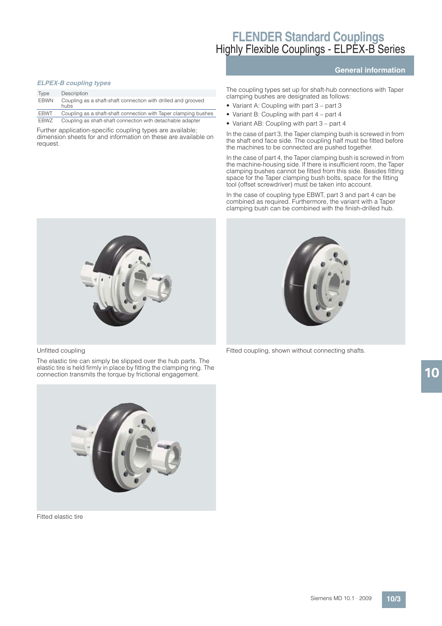### **General information**

The coupling types set up for shaft-hub connections with Taper clamping bushes are designated as follows:

- Variant A: Coupling with part 3 part 3
- Variant B: Coupling with part 4 part 4
- Variant AB: Coupling with part 3 part 4

In the case of part 3, the Taper clamping bush is screwed in from the shaft end face side. The coupling half must be fitted before the machines to be connected are pushed together.

In the case of part 4, the Taper clamping bush is screwed in from the machine-housing side. If there is insufficient room, the Taper clamping bushes cannot be fitted from this side. Besides fitting space for the Taper clamping bush bolts, space for the fitting tool (offset screwdriver) must be taken into account.

In the case of coupling type EBWT, part 3 and part 4 can be combined as required. Furthermore, the variant with a Taper clamping bush can be combined with the finish-drilled hub.



Further application-specific coupling types are available; dimension sheets for and information on these are available on

EBWN Coupling as a shaft-shaft connection with drilled and grooved

EBWT Coupling as a shaft-shaft connection with Taper clamping bushes EBWZ Coupling as shaft-shaft connection with detachable adapter

Unfitted coupling

**ELPEX-B coupling types** 

Type Description

hubs

request.

The elastic tire can simply be slipped over the hub parts. The elastic tire is held firmly in place by fitting the clamping ring. The connection transmits the torque by frictional engagement.



Fitted elastic tire



Fitted coupling, shown without connecting shafts.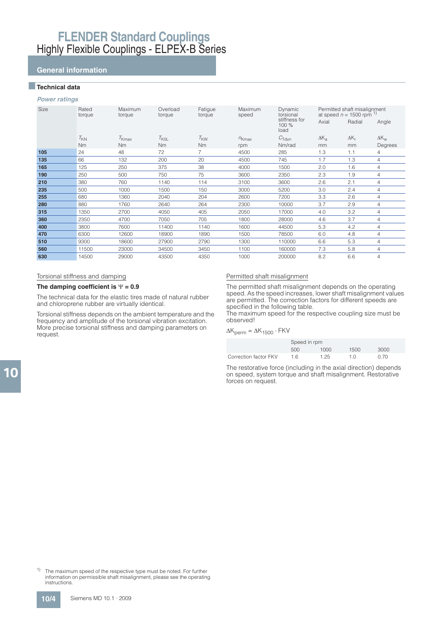## **General information**

### ■**Technical data**

#### **Power ratings**

| <b>Size</b> | Rated<br>torque | Maximum<br>torque | Overload<br>torque | Fatigue<br>torque | <b>Maximum</b><br>speed | Dynamic<br>torsional           | Permitted shaft misalignment<br>at speed $n = 1500$ rpm $^{1}$ ) |              |                    |  |
|-------------|-----------------|-------------------|--------------------|-------------------|-------------------------|--------------------------------|------------------------------------------------------------------|--------------|--------------------|--|
|             |                 |                   |                    |                   |                         | stiffness for<br>100 %<br>load | Axial                                                            | Radial       | Angle              |  |
|             | $T_{KN}$        | $T_{\text{Kmax}}$ | $T_{\text{KOL}}$   | $T_{\text{KW}}$   | $n_{Kmax}$              | $C_{\text{Tdvn}}$              | $\Delta K_{\rm a}$                                               | $\Delta K_r$ | $\Delta K_{\rm w}$ |  |
|             | <b>Nm</b>       | <b>Nm</b>         | N <sub>m</sub>     | <b>Nm</b>         | rpm                     | Nm/rad                         | mm                                                               | mm           | Degrees            |  |
| 105         | 24              | 48                | 72                 | $\overline{7}$    | 4500                    | 285                            | 1.3                                                              | 1.1          | 4                  |  |
| 135         | 66              | 132               | 200                | 20                | 4500                    | 745                            | 1.7                                                              | 1.3          | 4                  |  |
| 165         | 125             | 250               | 375                | 38                | 4000                    | 1500                           | 2.0                                                              | 1.6          | 4                  |  |
| 190         | 250             | 500               | 750                | 75                | 3600                    | 2350                           | 2.3                                                              | 1.9          | 4                  |  |
| 210         | 380             | 760               | 1140               | 114               | 3100                    | 3600                           | 2.6                                                              | 2.1          | 4                  |  |
| 235         | 500             | 1000              | 1500               | 150               | 3000                    | 5200                           | 3.0                                                              | 2.4          | 4                  |  |
| 255         | 680             | 1360              | 2040               | 204               | 2600                    | 7200                           | 3.3                                                              | 2.6          | 4                  |  |
| 280         | 880             | 1760              | 2640               | 264               | 2300                    | 10000                          | 3.7                                                              | 2.9          | 4                  |  |
| 315         | 1350            | 2700              | 4050               | 405               | 2050                    | 17000                          | 4.0                                                              | 3.2          | 4                  |  |
| 360         | 2350            | 4700              | 7050               | 705               | 1800                    | 28000                          | 4.6                                                              | 3.7          | 4                  |  |
| 400         | 3800            | 7600              | 11400              | 1140              | 1600                    | 44500                          | 5.3                                                              | 4.2          | 4                  |  |
| 470         | 6300            | 12600             | 18900              | 1890              | 1500                    | 78500                          | 6.0                                                              | 4.8          | $\overline{4}$     |  |
| 510         | 9300            | 18600             | 27900              | 2790              | 1300                    | 110000                         | 6.6                                                              | 5.3          | 4                  |  |
| 560         | 11500           | 23000             | 34500              | 3450              | 1100                    | 160000                         | 7.3                                                              | 5.8          | 4                  |  |
| 630         | 14500           | 29000             | 43500              | 4350              | 1000                    | 200000                         | 8.2                                                              | 6.6          | 4                  |  |

#### Torsional stiffness and damping

#### The damping coefficient is  $\Psi = 0.9$

The technical data for the elastic tires made of natural rubber and chloroprene rubber are virtually identical.

Torsional stiffness depends on the ambient temperature and the frequency and amplitude of the torsional vibration excitation. More precise torsional stiffness and damping parameters on request.

#### Permitted shaft misalignment

The permitted shaft misalignment depends on the operating speed. As the speed increases, lower shaft misalignment values are permitted. The correction factors for different speeds are specified in the following table.

The maximum speed for the respective coupling size must be observed!

### $\Delta K_{\text{perm}} = \Delta K_{1500} \cdot \text{FKV}$

|                       | Speed in rpm |      |      |      |
|-----------------------|--------------|------|------|------|
|                       | 500          | 1000 | 1500 | 3000 |
| Correction factor FKV | 16           | 1 25 | 1 N  | 0.70 |

The restorative force (including in the axial direction) depends on speed, system torque and shaft misalignment. Restorative forces on request.

<sup>&</sup>lt;sup>1)</sup> The maximum speed of the respective type must be noted. For further information on permissible shaft misalignment, please see the operating instructions.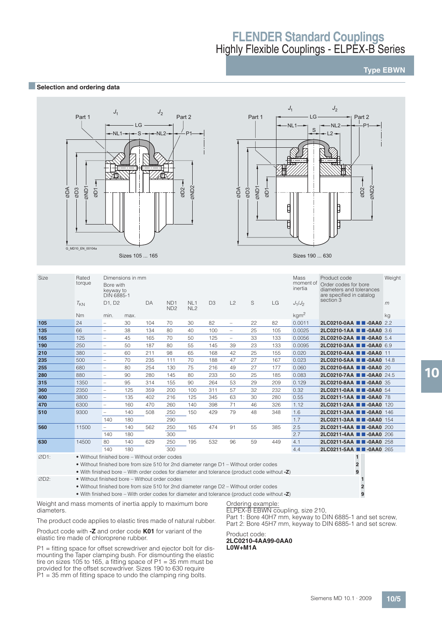## **Type EBWN**

#### **■Selection and ordering data**







| <b>Size</b>       | Rated<br>torque                                                                              | Bore with<br>keyway to<br>DIN 6885-1 | Dimensions in mm |           |                                    |                        |                |                          |    |           | Mass<br>moment of<br>inertia | Product code<br>Order codes for bore<br>diameters and tolerances<br>are specified in catalog | Weight |
|-------------------|----------------------------------------------------------------------------------------------|--------------------------------------|------------------|-----------|------------------------------------|------------------------|----------------|--------------------------|----|-----------|------------------------------|----------------------------------------------------------------------------------------------|--------|
|                   | $T_{\text{KN}}$                                                                              | D1, D2                               |                  | <b>DA</b> | ND <sub>1</sub><br>ND <sub>2</sub> | NL <sub>1</sub><br>NL2 | D <sub>3</sub> | L2                       | S  | <b>LG</b> | $J_1/J_2$                    | section 3                                                                                    | m      |
|                   | <b>Nm</b>                                                                                    | min.                                 | max.             |           |                                    |                        |                |                          |    |           | kgm <sup>2</sup>             |                                                                                              | kg     |
| 105               | 24                                                                                           |                                      | 30               | 104       | 70                                 | 30                     | 82             | $\qquad \qquad -$        | 22 | 82        | 0.0011                       | 2LC0210-0AA <b>11-0AA0</b> 2.2                                                               |        |
| 135               | 66                                                                                           | $\overline{\phantom{a}}$             | 38               | 134       | 80                                 | 40                     | 100            | $\overline{\phantom{a}}$ | 25 | 105       | 0.0025                       | 2LC0210-1AA <b>1 -0AA0</b> 3.6                                                               |        |
| 165               | 125                                                                                          | $\overline{a}$                       | 45               | 165       | 70                                 | 50                     | 125            | $\overline{\phantom{0}}$ | 33 | 133       | 0.0056                       | 2LC0210-2AA <b>1 -0AA0</b> 5.4                                                               |        |
| 190               | 250                                                                                          | $\overline{\phantom{a}}$             | 50               | 187       | 80                                 | 55                     | 145            | 39                       | 23 | 133       | 0.0095                       | 2LC0210-3AA <b>1 -0AA0</b> 6.9                                                               |        |
| 210               | 380                                                                                          | $\overline{\phantom{a}}$             | 60               | 211       | 98                                 | 65                     | 168            | 42                       | 25 | 155       | 0.020                        | 2LC0210-4AA 2 -0AA0 11                                                                       |        |
| 235               | 500                                                                                          | $\overline{\phantom{a}}$             | 70               | 235       | 111                                | 70                     | 188            | 47                       | 27 | 167       | 0.023                        | 2LC0210-5AA ■■-0AA0 14.8                                                                     |        |
| 255               | 680                                                                                          | $\overline{\phantom{a}}$             | 80               | 254       | 130                                | 75                     | 216            | 49                       | 27 | 177       | 0.060                        | 2LC0210-6AA <b>1 -0AA0</b> 20                                                                |        |
| 280               | 880                                                                                          | $\overline{\phantom{0}}$             | 90               | 280       | 145                                | 80                     | 233            | 50                       | 25 | 185       | 0.083                        | 2LC0210-7AA <b>1 -0AA0</b> 24.5                                                              |        |
| 315               | 1350                                                                                         | $\overline{\phantom{a}}$             | 95               | 314       | 155                                | 90                     | 264            | 53                       | 29 | 209       | 0.129                        | 2LC0210-8AA <b>1 -0AA0</b> 35                                                                |        |
| 360               | 2350                                                                                         | $\overline{\phantom{0}}$             | 125              | 359       | 200                                | 100                    | 311            | 57                       | 32 | 232       | 0.32                         | 2LC0211-0AA <b>1 -0AA0</b> 54                                                                |        |
| 400               | 3800                                                                                         | $\overline{\phantom{0}}$             | 135              | 402       | 216                                | 125                    | 345            | 63                       | 30 | 280       | 0.55                         | 2LC0211-1AA <b>1 -0AA0</b> 78                                                                |        |
| 470               | 6300                                                                                         | $\overline{\phantom{0}}$             | 160              | 470       | 260                                | 140                    | 398            | 71                       | 46 | 326       | 1.12                         | 2LC0211-2AA 2-0AA0 120                                                                       |        |
| 510               | 9300                                                                                         | $\overline{\phantom{a}}$             | 140              | 508       | 250                                | 150                    | 429            | 79                       | 48 | 348       | 1.6                          | 2LC0211-3AA ■■-0AA0 146                                                                      |        |
|                   |                                                                                              | 140                                  | 180              |           | 290                                |                        |                |                          |    |           | 1.7                          | 2LC0211-3AA ■■-0AA0 154                                                                      |        |
| 560               | 11500                                                                                        | $\overline{\phantom{0}}$             | 140              | 562       | 250                                | 165                    | 474            | 91                       | 55 | 385       | 2.5                          | 2LC0211-4AA <b>1 4 -0AA0</b> 200                                                             |        |
|                   |                                                                                              | 140                                  | 180              |           | 300                                |                        |                |                          |    |           | 2.7                          | 2LC0211-4AA <b>1 4 -0AA0</b> 206                                                             |        |
| 630               | 14500                                                                                        | 80                                   | 140              | 629       | 250                                | 195                    | 532            | 96                       | 59 | 449       | 4.1                          | 2LC0211-5AA <b>1 4</b> -0AA0 258                                                             |        |
|                   |                                                                                              | 140                                  | 180              |           | 300                                |                        |                |                          |    |           | 4.4                          | 2LC0211-5AA ■■-0AA0 265                                                                      |        |
| ØD1:              | • Without finished bore – Without order codes                                                |                                      |                  |           |                                    |                        |                |                          |    |           |                              | $\mathbf{1}$                                                                                 |        |
|                   | • Without finished bore from size 510 for 2nd diameter range D1 – Without order codes        |                                      |                  |           |                                    |                        |                |                          |    |           |                              | $\overline{2}$                                                                               |        |
|                   | • With finished bore – With order codes for diameter and tolerance (product code without -Z) |                                      |                  |           |                                    |                        |                |                          |    |           |                              | 9                                                                                            |        |
| ØD <sub>2</sub> : | • Without finished bore – Without order codes                                                |                                      |                  |           |                                    |                        |                |                          |    |           |                              | $\mathbf 1$                                                                                  |        |
|                   | . Without finished bore from size 510 for 2nd diameter range D2 - Without order codes        |                                      |                  |           |                                    |                        |                |                          |    |           |                              | $\overline{2}$                                                                               |        |
|                   | • With finished bore – With order codes for diameter and tolerance (product code without -Z) |                                      |                  |           |                                    |                        |                |                          |    |           |                              | 9                                                                                            |        |

Weight and mass moments of inertia apply to maximum bore diameters.

The product code applies to elastic tires made of natural rubber.

Product code with **-Z** and order code **K01** for variant of the elastic tire made of chloroprene rubber.

P1 = fitting space for offset screwdriver and ejector bolt for dismounting the Taper clamping bush. For dismounting the elastic tire on sizes 105 to 165, a fitting space of P1 = 35 mm must be provided for the offset screwdriver. Sizes 190 to 630 require P1 = 35 mm of fitting space to undo the clamping ring bolts.

Ordering example:

ELPEX-B EBWN coupling, size 210,

Part 1: Bore 40H7 mm, keyway to DIN 6885-1 and set screw, Part 2: Bore 45H7 mm, keyway to DIN 6885-1 and set screw. Product code:

## **2LC0210-4AA99-0AA0 L0W+M1A**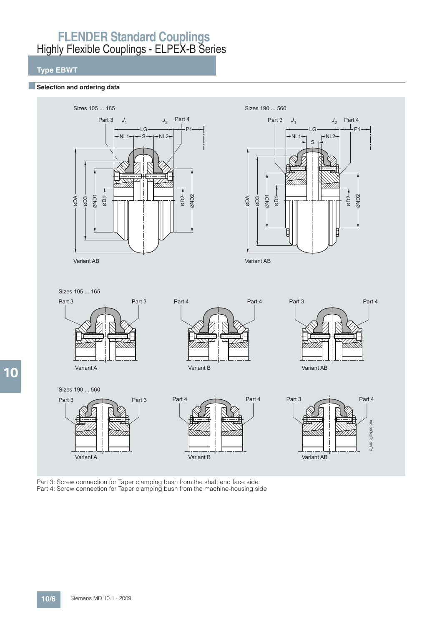## **Type EBWT**

#### **Exercise Selection and ordering data**



Part 3: Screw connection for Taper clamping bush from the shaft end face side Part 4: Screw connection for Taper clamping bush from the machine-housing side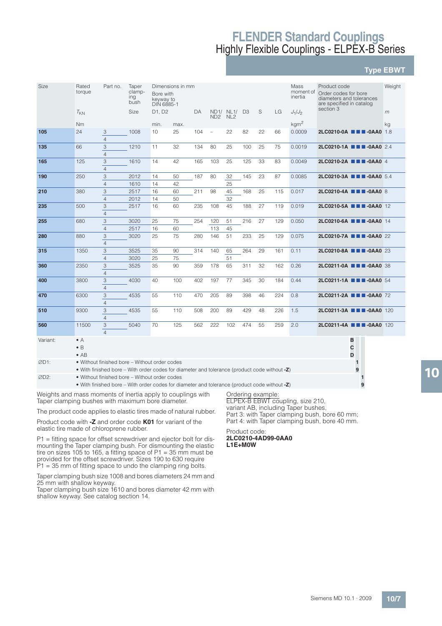## **Type EBWT**

| Size     | Rated<br>torque | Part no.                                      | Taper<br>clamp-<br>ing<br>bush | Bore with<br>keyway to<br>DIN 6885-1 | Dimensions in mm |     |                             |                              |                |    |     | Mass<br>moment of<br>inertia | Product code<br>Order codes for bore<br>diameters and tolerances<br>are specified in catalog | Weight |
|----------|-----------------|-----------------------------------------------|--------------------------------|--------------------------------------|------------------|-----|-----------------------------|------------------------------|----------------|----|-----|------------------------------|----------------------------------------------------------------------------------------------|--------|
|          | $T_{\rm KN}$    |                                               | Size                           | D1. D2                               |                  | DA  | ND <sub>2</sub>             | ND1/ NL1/<br>NL <sub>2</sub> | D <sub>3</sub> | S  | LG  | $J_1/J_2$                    | section 3                                                                                    | m      |
|          | <b>Nm</b>       |                                               |                                | min.                                 | max.             |     |                             |                              |                |    |     | kgm <sup>2</sup>             |                                                                                              | kg     |
| 105      | 24              | 3<br>$\overline{4}$                           | 1008                           | 10                                   | 25               | 104 | $\overline{\phantom{0}}$    | 22                           | 82             | 22 | 66  | 0.0009                       | 2LC0210-0A <b>THE-0AA0</b> 1.8                                                               |        |
| 135      | 66              | 3<br>$\overline{4}$                           | 1210                           | 11                                   | 32               | 134 | 80                          | 25                           | 100            | 25 | 75  | 0.0019                       | 2LC0210-1A <b>THE-0AA0</b> 2.4                                                               |        |
| 165      | 125             | $\ensuremath{\mathsf{3}}$<br>$\overline{4}$   | 1610                           | 14                                   | 42               | 165 | 103                         | 25                           | 125            | 33 | 83  | 0.0049                       | 2LC0210-2A <b>III</b> -0AA0 4                                                                |        |
| 190      | 250             | 3                                             | 2012                           | 14                                   | 50               | 187 | 80                          | 32                           | 145            | 23 | 87  | 0.0085                       | 2LC0210-3A <b>III</b> -0AA0 5.4                                                              |        |
|          |                 | $\overline{4}$                                | 1610                           | 14                                   | 42               |     |                             | 25                           |                |    |     |                              |                                                                                              |        |
| 210      | 380             | 3                                             | 2517                           | 16                                   | 60               | 211 | 98                          | 45                           | 168            | 25 | 115 | 0.017                        | 2LC0210-4A <b>III</b> -0AA0 8                                                                |        |
|          |                 | $\overline{4}$                                | 2012                           | 14                                   | 50               |     |                             | 32                           |                |    |     |                              |                                                                                              |        |
| 235      | 500             | $\ensuremath{\mathsf{3}}$                     | 2517                           | 16                                   | 60               | 235 | 108                         | 45                           | 188            | 27 | 119 | 0.019                        | 2LC0210-5A <b>THE-0AA0</b> 12                                                                |        |
|          |                 | $\overline{4}$                                |                                |                                      |                  |     |                             |                              |                |    |     |                              |                                                                                              |        |
| 255      | 680             | $\mathcal{S}$                                 | 3020                           | 25                                   | 75               | 254 | 120                         | 51                           | 216            | 27 | 129 | 0.050                        | 2LC0210-6A <b>THE-0AA0</b> 14                                                                |        |
|          |                 | $\overline{4}$                                | 2517                           | 16                                   | 60               |     | 113                         | 45                           |                |    |     |                              |                                                                                              |        |
| 280      | 880             | $\mathcal{S}$                                 | 3020                           | 25                                   | 75               | 280 | 146                         | 51                           | 233            | 25 | 129 | 0.075                        | 2LC0210-7A <b>THE-0AA0</b> 22                                                                |        |
|          |                 | $\overline{4}$                                |                                |                                      |                  |     |                             |                              |                |    |     |                              |                                                                                              |        |
| 315      | 1350            | 3                                             | 3525                           | 35                                   | 90               | 314 | 140                         | 65                           | 264            | 29 | 161 | 0.11                         | 2LC0210-8A <b>THE-0AA0</b> 23                                                                |        |
|          |                 | $\overline{4}$                                | 3020                           | 25                                   | 75               |     |                             | 51                           |                |    |     |                              |                                                                                              |        |
| 360      | 2350            | 3                                             | 3525                           | 35                                   | 90               | 359 | 178                         | 65                           | 311            | 32 | 162 | 0.26                         | 2LC0211-0A <b>NN</b> -0AA0 38                                                                |        |
|          |                 | $\overline{4}$                                |                                |                                      |                  |     |                             |                              |                |    |     |                              |                                                                                              |        |
| 400      | 3800            | $\mathsf 3$                                   | 4030                           | 40                                   | 100              | 402 | 197                         | 77                           | 345            | 30 | 184 | 0.44                         | 2LC0211-1A <b>TH</b> -0AA0 54                                                                |        |
|          |                 | $\overline{4}$                                |                                |                                      |                  |     |                             |                              |                |    |     |                              |                                                                                              |        |
| 470      | 6300            | $\ensuremath{\mathsf{3}}$                     | 4535                           | 55                                   | 110              | 470 | 205                         | 89                           | 398            | 46 | 224 | 0.8                          | 2LC0211-2A <b>THE-0AA0</b> 72                                                                |        |
|          |                 | $\overline{4}$                                |                                |                                      |                  |     |                             |                              |                |    |     |                              |                                                                                              |        |
| 510      | 9300            | 3                                             | 4535                           | 55                                   | 110              | 508 | 200                         | 89                           | 429            | 48 | 226 | 1.5                          | 2LC0211-3A ■■■-0AA0 120                                                                      |        |
|          |                 | $\overline{4}$                                |                                |                                      |                  |     |                             |                              |                |    |     |                              |                                                                                              |        |
| 560      | 11500           | 3<br>$\overline{4}$                           | 5040                           | 70                                   | 125              | 562 | 222                         | 102                          | 474            | 55 | 259 | 2.0                          | 2LC0211-4A <b>TH</b> -0AA0 120                                                               |        |
| Variant: | $\bullet$ A     |                                               |                                |                                      |                  |     |                             |                              |                |    |     |                              | B                                                                                            |        |
|          | $\bullet$ B     |                                               |                                |                                      |                  |     |                             |                              |                |    |     |                              | C                                                                                            |        |
|          | $\bullet$ AB    |                                               |                                |                                      |                  |     |                             |                              |                |    |     |                              | D                                                                                            |        |
| ØD1:     |                 | . Without finished bore - Without order codes |                                |                                      |                  |     |                             |                              |                |    |     |                              | $\mathbf{1}$                                                                                 |        |
|          |                 |                                               | 1.4.111                        |                                      |                  |     | $\sim$ $\sim$ $\sim$ $\sim$ |                              |                |    |     |                              |                                                                                              |        |

• With finished bore – With order codes for diameter and tolerance (product code without **-Z**) **9**

D2: • Without finished bore – Without order codes **1**

• With finished bore – With order codes for diameter and tolerance (product code without **-Z**) **9**

Weights and mass moments of inertia apply to couplings with Taper clamping bushes with maximum bore diameter.

The product code applies to elastic tires made of natural rubber.

Product code with **-Z** and order code **K01** for variant of the elastic tire made of chloroprene rubber.

P1 = fitting space for offset screwdriver and ejector bolt for dismounting the Taper clamping bush. For dismounting the elastic tire on sizes 105 to 165, a fitting space of  $P1 = 35$  mm must be provided for the offset screwdriver. Sizes 190 to 630 require P1 = 35 mm of fitting space to undo the clamping ring bolts.

Taper clamping bush size 1008 and bores diameters 24 mm and 25 mm with shallow keyway.

Taper clamping bush size 1610 and bores diameter 42 mm with shallow keyway. See catalog section 14.

Ordering example:

ELPEX-B EBWT coupling, size 210, variant AB, including Taper bushes, Part 3: with Taper clamping bush, bore 60 mm; Part 4: with Taper clamping bush, bore 40 mm.

Product code: **2LC0210-4AD99-0AA0 L1E+M0W**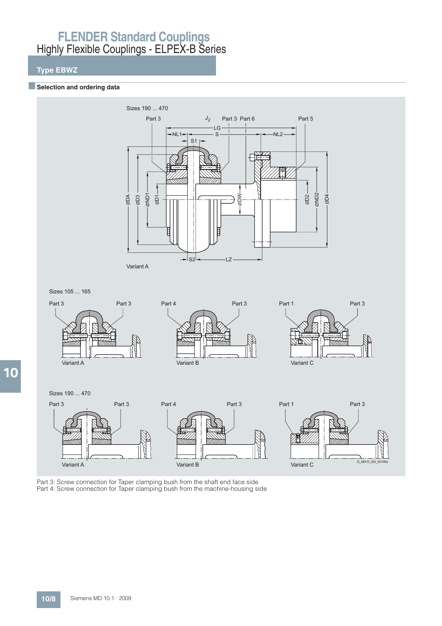## **Type EBWZ**

#### **Exercise Selection and ordering data**



Part 3: Screw connection for Taper clamping bush from the shaft end face side Part 4: Screw connection for Taper clamping bush from the machine-housing side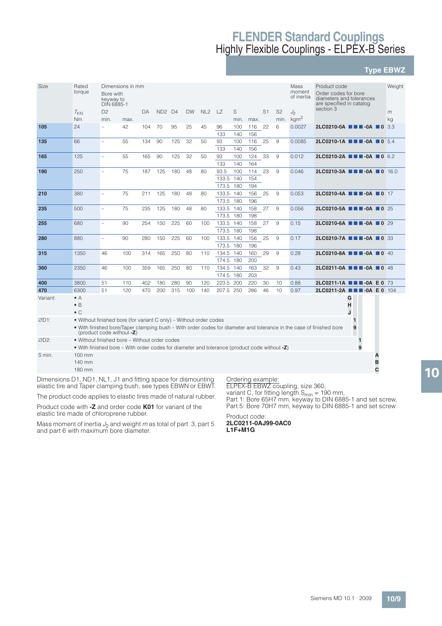## **Type EBWZ**

| Size             | Rated<br>torque                           | Bore with<br>keyway to<br>DIN 6885-1                                                                                                             | Dimensions in mm |     |                                |     |           |                 |                         |                   |                   |    |                  | Mass<br>moment<br>of inertia |                                                                                                                     | Product code<br>Order codes for bore<br>diameters and tolerances<br>are specified in catalog |             | Weight |
|------------------|-------------------------------------------|--------------------------------------------------------------------------------------------------------------------------------------------------|------------------|-----|--------------------------------|-----|-----------|-----------------|-------------------------|-------------------|-------------------|----|------------------|------------------------------|---------------------------------------------------------------------------------------------------------------------|----------------------------------------------------------------------------------------------|-------------|--------|
|                  | $T_{KN}$                                  | D <sub>2</sub>                                                                                                                                   |                  | DA  | ND <sub>2</sub> D <sub>4</sub> |     | <b>DW</b> | NL <sub>2</sub> | LZ                      | S                 |                   | S1 | S <sub>2</sub>   | $J_2$                        | section 3                                                                                                           |                                                                                              |             | m      |
|                  | <b>Nm</b>                                 | min.                                                                                                                                             | max.             |     |                                |     |           |                 |                         | min.              | max.              |    | min.             | kgm <sup>2</sup>             |                                                                                                                     |                                                                                              |             | kg     |
| 105              | 24                                        |                                                                                                                                                  | 42               | 104 | 70                             | 95  | 25        | 45              | 96<br>133               | 100<br>140        | 116<br>156        | 22 | 6                | 0.0027                       | $2LC0210-0A$ $\blacksquare$ $\blacksquare$ $-0A$ $\blacksquare$ 0 3.3                                               |                                                                                              |             |        |
| 135              | 66                                        | $\overline{\phantom{a}}$                                                                                                                         | 55               | 134 | 90                             | 125 | 32        | 50              | 93<br>133               | 100<br>140        | 116<br>156        | 25 | 9                | 0.0085                       | <b>2LC0210-1A <math>\blacksquare</math> <math>\blacksquare</math> -0A <math>\blacksquare</math> 0 5.4</b>           |                                                                                              |             |        |
| 165              | 125                                       | $\overline{\phantom{0}}$                                                                                                                         | 55               | 165 | 90                             | 125 | 32        | 50              | 93<br>133               | 100<br>140        | 124<br>164        | 33 | 9                | 0.012                        | 2LC0210-2A <b>10 4</b> -0A 0 6.2                                                                                    |                                                                                              |             |        |
| 190              | 250                                       | $\overline{\phantom{0}}$                                                                                                                         | 75               | 187 | 125                            | 180 | 48        | 80              | 93.5<br>133.5           | 100<br>140        | 114<br>154        | 23 | 9                | 0.046                        | 2LC0210-3A <b>1 1 40A 0 16.0</b>                                                                                    |                                                                                              |             |        |
| 210              | 380                                       |                                                                                                                                                  | 75               | 211 | 125                            | 180 | 48        | 80              | 173.5<br>133.5<br>173.5 | 180<br>140<br>180 | 194<br>156<br>196 | 25 | 9                | 0.053                        | 2LC0210-4A <b>III</b> -0A 0 17                                                                                      |                                                                                              |             |        |
| 235              | 500                                       | $\overline{\phantom{0}}$                                                                                                                         | 75               | 235 | 125                            | 180 | 48        | 80              | 133.5<br>173.5          | 140<br>180        | 158<br>198        | 27 | 9                | 0.056                        | 2LC0210-5A ■■■-0A ■0 25                                                                                             |                                                                                              |             |        |
| 255              | 680                                       | $\overline{\phantom{0}}$                                                                                                                         | 90               | 254 | 150                            | 225 | 60        | 100             | 133.5<br>173.5 180      | 140               | 158<br>198        | 27 | 9                | 0.15                         | 2LC0210-6A <b>III</b> -0A 0 29                                                                                      |                                                                                              |             |        |
| 280              | 880                                       | $\overline{\phantom{0}}$                                                                                                                         | 90               | 280 | 150                            | 225 | 60        | 100             | 133.5 140<br>173.5 180  |                   | 156<br>196        | 25 | 9                | 0.17                         | 2LC0210-7A <b>III</b> -0A 0 33                                                                                      |                                                                                              |             |        |
| 315              | 1350                                      | 46                                                                                                                                               | 100              | 314 | 165                            | 250 | 80        | 110             | 134.5<br>174.5          | 140<br>180        | 160<br>200        | 29 | $\boldsymbol{9}$ | 0.28                         | 2LC0210-8A <b>III</b> -0A 0 40                                                                                      |                                                                                              |             |        |
| 360              | 2350                                      | 46                                                                                                                                               | 100              | 359 | 165                            | 250 | 80        | 110             | 134.5 140<br>174.5 180  |                   | 163<br>203        | 32 | 9                | 0.43                         | 2LC0211-0A <b>NN</b> -0A 0 48                                                                                       |                                                                                              |             |        |
| 400              | 3800                                      | 51                                                                                                                                               | 110              | 402 | 180                            | 280 | 90        | 120             | 223.5                   | 200               | 220               | 30 | 10               | 0.88                         | 2LC0211-1A <b>THE-0A E0 73</b>                                                                                      |                                                                                              |             |        |
| 470              | 6300                                      | 51                                                                                                                                               | 120              | 470 | 200                            | 315 | 100       | 140             | 207.5 250               |                   | 286               | 46 | 10               | 0.97                         | 2LC0211-2A ■■■-0A E 0 104                                                                                           |                                                                                              |             |        |
| Variant:         | $\bullet$ A<br>$\bullet$ B<br>$\bullet$ C |                                                                                                                                                  |                  |     |                                |     |           |                 |                         |                   |                   |    |                  |                              |                                                                                                                     | G<br>Н<br>J                                                                                  |             |        |
| ØD1:             |                                           | • Without finished bore (for variant C only) - Without order codes                                                                               |                  |     |                                |     |           |                 |                         |                   |                   |    |                  |                              |                                                                                                                     | 1                                                                                            |             |        |
|                  |                                           | (product code without -Z)                                                                                                                        |                  |     |                                |     |           |                 |                         |                   |                   |    |                  |                              | . With finished bore/Taper clamping bush - With order codes for diameter and tolerance in the case of finished bore | 9                                                                                            |             |        |
| ØD <sub>2:</sub> |                                           | • Without finished bore – Without order codes<br>• With finished bore – With order codes for diameter and tolerance (product code without $-Z$ ) |                  |     |                                |     |           |                 |                         |                   |                   |    |                  |                              |                                                                                                                     | п<br>9                                                                                       |             |        |
| S min.           | 100 mm<br>140 mm<br>180 mm                |                                                                                                                                                  |                  |     |                                |     |           |                 |                         |                   |                   |    |                  |                              |                                                                                                                     |                                                                                              | Α<br>B<br>C |        |

elastic tire and Taper clamping bush, see types EBWN or EBWT.

The product code applies to elastic tires made of natural rubber.

Product code with **-Z** and order code **K01** for variant of the elastic tire made of chloroprene rubber.

Mass moment of inertia  $J_2$  and weight m as total of part 3, part 5 and part 6 with maximum bore diameter.

ELPEX-B EBWZ coupling, size 360,

variant C, for fitting length S<sub>min</sub> = 190 mm,<br>Part 1: Bore 65H7 mm, keyway to DIN 6885-1 and set screw, Part 5: Bore 70H7 mm, keyway to DIN 6885-1 and set screw

Product code: **2LC0211-0AJ99-0AC0 L1F+M1G**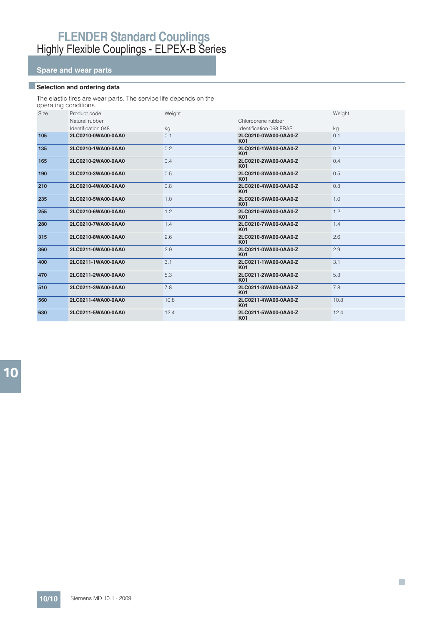## **Spare and wear parts**

## ■**Selection and ordering data**

The elastic tires are wear parts. The service life depends on the

|      | operating conditions. |        |                                    |        |
|------|-----------------------|--------|------------------------------------|--------|
| Size | Product code          | Weight |                                    | Weight |
|      | Natural rubber        |        | Chloroprene rubber                 |        |
|      | Identification 048    | kg     | Identification 068 FRAS            | kg     |
| 105  | 2LC0210-0WA00-0AA0    | 0.1    | 2LC0210-0WA00-0AA0-Z<br><b>K01</b> | 0.1    |
| 135  | 2LC0210-1WA00-0AA0    | 0.2    | 2LC0210-1WA00-0AA0-Z<br><b>K01</b> | 0.2    |
| 165  | 2LC0210-2WA00-0AA0    | 0.4    | 2LC0210-2WA00-0AA0-Z<br><b>K01</b> | 0.4    |
| 190  | 2LC0210-3WA00-0AA0    | 0.5    | 2LC0210-3WA00-0AA0-Z<br><b>K01</b> | 0.5    |
| 210  | 2LC0210-4WA00-0AA0    | 0.8    | 2LC0210-4WA00-0AA0-Z<br><b>K01</b> | 0.8    |
| 235  | 2LC0210-5WA00-0AA0    | 1.0    | 2LC0210-5WA00-0AA0-Z<br><b>K01</b> | 1.0    |
| 255  | 2LC0210-6WA00-0AA0    | 1.2    | 2LC0210-6WA00-0AA0-Z<br><b>K01</b> | 1.2    |
| 280  | 2LC0210-7WA00-0AA0    | 1.4    | 2LC0210-7WA00-0AA0-Z<br><b>K01</b> | 1.4    |
| 315  | 2LC0210-8WA00-0AA0    | 2.6    | 2LC0210-8WA00-0AA0-Z<br><b>K01</b> | 2.6    |
| 360  | 2LC0211-0WA00-0AA0    | 2.9    | 2LC0211-0WA00-0AA0-Z<br><b>K01</b> | 2.9    |
| 400  | 2LC0211-1WA00-0AA0    | 3.1    | 2LC0211-1WA00-0AA0-Z<br><b>K01</b> | 3.1    |
| 470  | 2LC0211-2WA00-0AA0    | 5.3    | 2LC0211-2WA00-0AA0-Z<br><b>K01</b> | 5.3    |
| 510  | 2LC0211-3WA00-0AA0    | 7.8    | 2LC0211-3WA00-0AA0-Z<br><b>K01</b> | 7.8    |
| 560  | 2LC0211-4WA00-0AA0    | 10.8   | 2LC0211-4WA00-0AA0-Z<br><b>K01</b> | 10.8   |
| 630  | 2LC0211-5WA00-0AA0    | 12.4   | 2LC0211-5WA00-0AA0-Z<br><b>K01</b> | 12.4   |

 $\mathcal{C}^{\mathcal{A}}$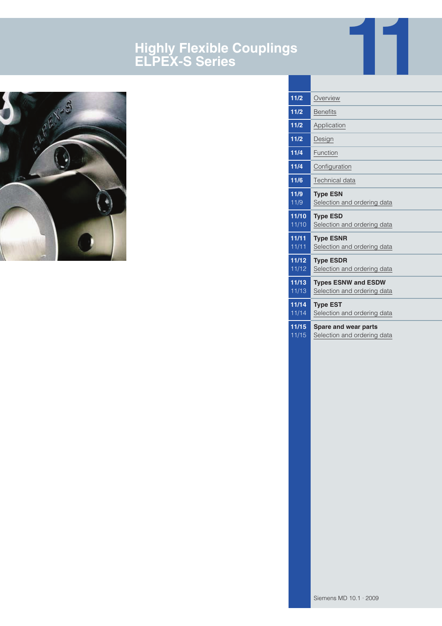# **Highly Flexible Couplings ELPEX-S Series**



| $11/2$         | Overview                                                   |
|----------------|------------------------------------------------------------|
| $11/2$         | <b>Benefits</b>                                            |
| $11/2$         | Application                                                |
| 11/2           | Design                                                     |
| 11/4           | Function                                                   |
| 11/4           | Configuration                                              |
| $11/6$         | Technical data                                             |
| 11/9<br>11/9   | <b>Type ESN</b><br>Selection and ordering data             |
| 11/10<br>11/10 | <b>Type ESD</b><br>Selection and ordering data             |
| 11/11<br>11/11 | <b>Type ESNR</b><br>Selection and ordering data            |
| 11/12<br>11/12 | <b>Type ESDR</b><br>Selection and ordering data            |
| 11/13<br>11/13 | <b>Types ESNW and ESDW</b><br>Selection and ordering data  |
| 11/14<br>11/14 | <b>Type EST</b><br>Selection and ordering data             |
| 11/15<br>11/15 | <b>Spare and wear parts</b><br>Selection and ordering data |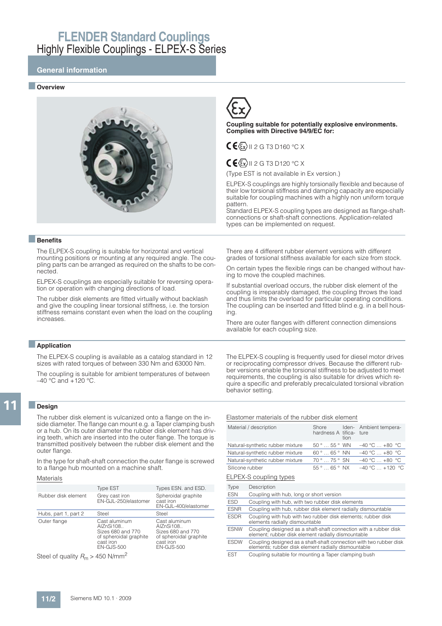### **General information**

#### ■ **Overview**



**Coupling suitable for potentially explosive environments. Complies with Directive 94/9/EC for:**

## $CE(E_x)$ II 2 G T3 D160 °C X

## $CE\$  $I1$  2 G T3 D120 °C X

(Type EST is not available in Ex version.)

ELPEX-S couplings are highly torsionally flexible and because of their low torsional stiffness and damping capacity are especially suitable for coupling machines with a highly non uniform torque pattern.

Standard ELPEX-S coupling types are designed as flange-shaftconnections or shaft-shaft connections. Application-related types can be implemented on request.

### ■**Benefits**

The ELPEX-S coupling is suitable for horizontal and vertical mounting positions or mounting at any required angle. The coupling parts can be arranged as required on the shafts to be connected.

ELPEX-S couplings are especially suitable for reversing operation or operation with changing directions of load.

The rubber disk elements are fitted virtually without backlash and give the coupling linear torsional stiffness, i.e. the torsion stiffness remains constant even when the load on the coupling increases.

There are 4 different rubber element versions with different grades of torsional stiffness available for each size from stock.

On certain types the flexible rings can be changed without having to move the coupled machines.

If substantial overload occurs, the rubber disk element of the coupling is irreparably damaged, the coupling throws the load and thus limits the overload for particular operating conditions. The coupling can be inserted and fitted blind e.g. in a bell housing.

There are outer flanges with different connection dimensions available for each coupling size.

### ■**Application**

The ELPEX-S coupling is available as a catalog standard in 12 sizes with rated torques of between 330 Nm and 63000 Nm.

The coupling is suitable for ambient temperatures of between  $-40$  °C and  $+120$  °C.

#### 11 ■**Design**

The rubber disk element is vulcanized onto a flange on the inside diameter. The flange can mount e.g. a Taper clamping bush or a hub. On its outer diameter the rubber disk element has driving teeth, which are inserted into the outer flange. The torque is transmitted positively between the rubber disk element and the outer flange.

In the type for shaft-shaft connection the outer flange is screwed to a flange hub mounted on a machine shaft.

#### **Materials**

|                             | <b>Type EST</b>                                                                                      | Types ESN. and ESD.                                                                                  |
|-----------------------------|------------------------------------------------------------------------------------------------------|------------------------------------------------------------------------------------------------------|
| Rubber disk element         | Grey cast iron<br>EN-GJL-250/elastomer                                                               | Spheroidal graphite<br>cast iron<br>EN-GJL-400/elastomer                                             |
| Hubs, part 1, part 2        | Steel                                                                                                | Steel                                                                                                |
| Outer flange                | Cast aluminum<br>AlZnSi108<br>Sizes 680 and 770<br>of spheroidal graphite<br>cast iron<br>EN-GJS-500 | Cast aluminum<br>AlZnSi108<br>Sizes 680 and 770<br>of spheroidal graphite<br>cast iron<br>EN-GJS-500 |
| $Q_1 + I_2 + I_3 + I_4 = 2$ |                                                                                                      |                                                                                                      |

Steel of quality  $R_m > 450$  N/mm<sup>2</sup>

The ELPEX-S coupling is frequently used for diesel motor drives or reciprocating compressor drives. Because the different rubber versions enable the torsional stiffness to be adjusted to meet requirements, the coupling is also suitable for drives which require a specific and preferably precalculated torsional vibration behavior setting.

#### Elastomer materials of the rubber disk element

| Material / description           | hardness A tifica- ture       | tion | Shore Iden-Ambient tempera- |
|----------------------------------|-------------------------------|------|-----------------------------|
| Natural-synthetic rubber mixture | $50^{\circ}$ $55^{\circ}$ WN  |      | $-40 °C$ $+80 °C$           |
| Natural-synthetic rubber mixture | $60^{\circ}$ $65^{\circ}$ NN  |      | $-40 °C$ $+80 °C$           |
| Natural-synthetic rubber mixture | $70^{\circ}$ 75 $^{\circ}$ SN |      | $-40 °C$ $+80 °C$           |
| Silicone rubber                  | $55^\circ$ $65^\circ$ NX      |      | $-40 °C  +120 °C$           |

#### ELPEX-S coupling types

| <b>Type</b>     | Description                                                                                                               |
|-----------------|---------------------------------------------------------------------------------------------------------------------------|
| <b>ESN</b>      | Coupling with hub, long or short version                                                                                  |
| <b>ESD</b>      | Coupling with hub, with two rubber disk elements                                                                          |
| <b>ESNR</b>     | Coupling with hub, rubber disk element radially dismountable                                                              |
| <b>ESDR</b>     | Coupling with hub with two rubber disk elements; rubber disk<br>elements radially dismountable                            |
| <b>ESNW</b>     | Coupling designed as a shaft-shaft connection with a rubber disk<br>element; rubber disk element radially dismountable    |
| <b>ESDW</b>     | Coupling designed as a shaft-shaft connection with two rubber disk<br>elements; rubber disk element radially dismountable |
| FS <sub>1</sub> | Coupling suitable for mounting a Taper clamping bush                                                                      |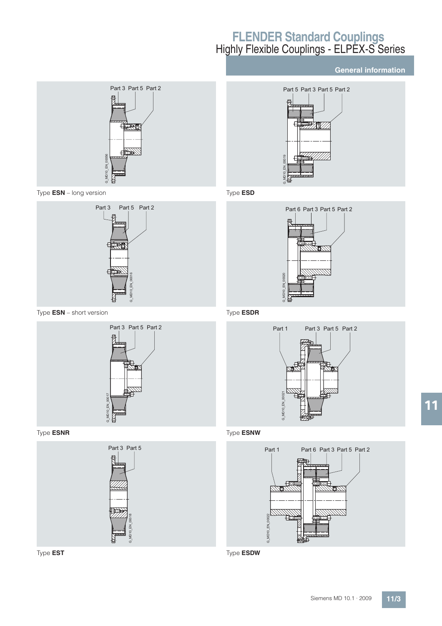## **General information**



Type **ESN** – long version



Type **ESN** – short version







Type **EST**



Type **ESD**



Type **ESDR**



Type **ESNW**



Type **ESDW**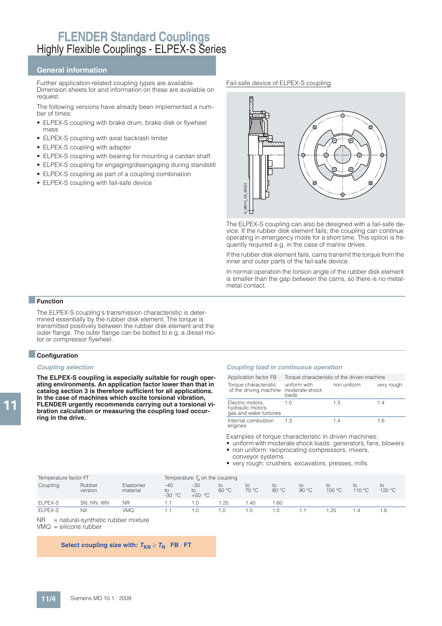### **General information**

Further application-related coupling types are available. Dimension sheets for and information on these are available on request

The following versions have already been implemented a number of times:

- ELPEX-S coupling with brake drum, brake disk or flywheel mass
- ELPEX-S coupling with axial backlash limiter
- ELPEX-S coupling with adapter
- ELPEX-S coupling with bearing for mounting a cardan shaft
- ELPEX-S coupling for engaging/disengaging during standstill
- ELPEX-S coupling as part of a coupling combination
- ELPEX-S coupling with fail-safe device

#### Fail-safe device of ELPEX-S coupling



The ELPEX-S coupling can also be designed with a fail-safe device. If the rubber disk element fails, the coupling can continue operating in emergency mode for a short time. This option is frequently required e.g. in the case of marine drives.

If the rubber disk element fails, cams transmit the torque from the inner and outer parts of the fail-safe device.

In normal operation the torsion angle of the rubber disk element is smaller than the gap between the cams, so there is no metalmetal contact.

### ■**Function**

The ELPEX-S coupling's transmission characteristic is determined essentially by the rubber disk element. The torque is transmitted positively between the rubber disk element and the outer flange. The outer flange can be bolted to e.g. a diesel motor or compressor flywheel.

### ■**Configuration**

#### **Coupling selection**

**The ELPEX-S coupling is especially suitable for rough operating environments. An application factor lower than that in catalog section 3 is therefore sufficient for all applications. In the case of machines which excite torsional vibration, FLENDER urgently recommends carrying out a torsional vibration calculation or measuring the coupling load occurring in the drive.**

#### **Coupling load in continuous operation**

| Application factor FB                                           | Torque characteristic of the driven machine |             |            |
|-----------------------------------------------------------------|---------------------------------------------|-------------|------------|
| Torque characteristic<br>of the driving machine moderate shock  | uniform with<br>loads                       | non uniform | very rough |
| Electric motors,<br>hydraulic motors,<br>gas and water turbines | 1.0                                         | 1.3         | 1.4        |
| Internal combustion<br>engines                                  | 1.3                                         | 14          | 1.6        |

Examples of torque characteristic in driven machines:

- uniform with moderate shock loads: generators, fans, blowers • non uniform: reciprocating compressors, mixers,
- conveyor systems
- very rough: crushers, excavators, presses, mills

| Temperature factor FT |                                      |                       | Temperature $T_a$ on the coupling |                         |                      |             |             |             |              |              |              |  |  |  |
|-----------------------|--------------------------------------|-----------------------|-----------------------------------|-------------------------|----------------------|-------------|-------------|-------------|--------------|--------------|--------------|--|--|--|
| Coupling              | Rubber<br>version                    | Elastomer<br>material | $-40$<br>to<br>$-30 °C$           | $-30$<br>to<br>$+50 °C$ | to<br>$60^{\circ}$ C | to<br>70 °C | to<br>80 °C | to<br>90 °C | to<br>100 °C | to<br>110 °C | to<br>120 °C |  |  |  |
| ELPEX-S               | SN. NN. WN                           | <b>NR</b>             |                                   | 1.0                     | .25                  | . 40        | i .60       |             |              |              |              |  |  |  |
| ELPEX-S               | <b>NX</b>                            | <b>VMQ</b>            |                                   | 1.0                     | 1.0                  | 1.0         | 0.1         |             | 1.25         | .4           | 1.6          |  |  |  |
| <b>NR</b>             | $=$ natural-synthetic rubber mixture |                       |                                   |                         |                      |             |             |             |              |              |              |  |  |  |

VMQ = silicone rubber

### **Select coupling size with:**  $T_{KN} \geq T_N \cdot FB \cdot FT$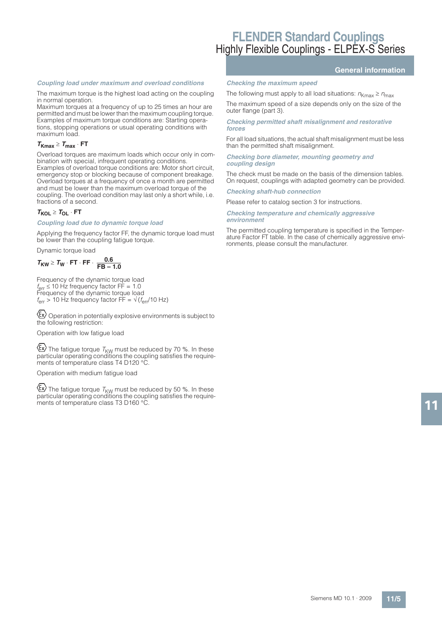### **General information**

#### **Coupling load under maximum and overload conditions**

The maximum torque is the highest load acting on the coupling in normal operation.

Maximum torques at a frequency of up to 25 times an hour are permitted and must be lower than the maximum coupling torque. Examples of maximum torque conditions are: Starting operations, stopping operations or usual operating conditions with maximum load.

### $T_{Kmax} \geq T_{max} \cdot FT$

Overload torques are maximum loads which occur only in combination with special, infrequent operating conditions. Examples of overload torque conditions are: Motor short circuit, emergency stop or blocking because of component breakage. Overload torques at a frequency of once a month are permitted and must be lower than the maximum overload torque of the coupling. The overload condition may last only a short while, i.e. fractions of a second.

### $T_{\text{KOL}} \geq T_{\text{OL}} \cdot \text{FT}$

#### **Coupling load due to dynamic torque load**

Applying the frequency factor FF, the dynamic torque load must be lower than the coupling fatigue torque.

Dynamic torque load

 $T_{\text{KW}} \geq T_{\text{W}} \cdot \text{FT} \cdot \text{FF} \cdot \frac{0.6}{\text{FB} - 1}$ **FB – 1.0**

Frequency of the dynamic torque load  $f_{err} \le 10$  Hz frequency factor FF = 1.0 Frequency of the dynamic torque load  $f_{\text{err}} > 10$  Hz frequency factor FF =  $\sqrt{(f_{\text{err}}/10 \text{ Hz})}$ 

Operation in potentially explosive environments is subject to the following restriction:

Operation with low fatigue load

 $\langle \xi \rangle$  The fatigue torque  $T_{\text{KW}}$  must be reduced by 70 %. In these particular operating conditions the coupling satisfies the requirements of temperature class T4 D120 °C.

Operation with medium fatigue load

 $\langle \xi \rangle$  The fatigue torque  $T_{\text{KW}}$  must be reduced by 50 %. In these particular operating conditions the coupling satisfies the requirements of temperature class T3 D160 °C.

**Checking the maximum speed**

The following must apply to all load situations:  $n_{Kmax} \ge n_{max}$ The maximum speed of a size depends only on the size of the outer flange (part 3).

**Checking permitted shaft misalignment and restorative forces**

For all load situations, the actual shaft misalignment must be less than the permitted shaft misalignment.

**Checking bore diameter, mounting geometry and coupling design**

The check must be made on the basis of the dimension tables. On request, couplings with adapted geometry can be provided.

**Checking shaft-hub connection**

Please refer to catalog section 3 for instructions.

**Checking temperature and chemically aggressive environment**

The permitted coupling temperature is specified in the Temperature Factor FT table. In the case of chemically aggressive environments, please consult the manufacturer.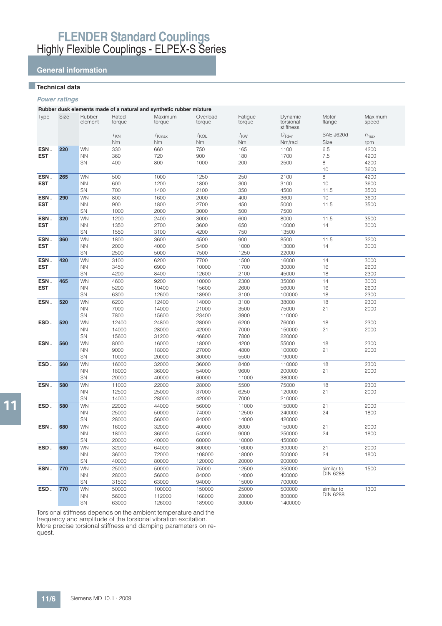# **General information**

### ■**Technical data**

### **Power ratings**

|            |      |                        |                 | Rubber dusk elements made of a natural and synthetic rubber mixture |                    |                   |                                   |                               |                  |
|------------|------|------------------------|-----------------|---------------------------------------------------------------------|--------------------|-------------------|-----------------------------------|-------------------------------|------------------|
| Type       | Size | Rubber<br>element      | Rated<br>torque | Maximum<br>torque                                                   | Overload<br>torque | Fatigue<br>torque | Dynamic<br>torsional<br>stiffness | Motor<br>flange               | Maximum<br>speed |
|            |      |                        | $T_{KN}$        | $T_{\text{Kmax}}$                                                   | $T_{KOL}$          | $T_{\text{KW}}$   | $C_{\text{Tdvn}}$                 | SAE J620d                     | $n_{\text{max}}$ |
|            |      |                        | Nm              | <b>Nm</b>                                                           | Nm                 | Nm                | Nm/rad                            | Size                          | rpm              |
| ESN.       | 220  | <b>WN</b>              | 330             | 660                                                                 | 750                | 165               | 1100                              | 6.5                           | 4200             |
| <b>EST</b> |      | <b>NN</b>              | 360             | 720                                                                 | 900                | 180               | 1700                              | 7.5                           | 4200             |
|            |      | SN                     | 400             | 800                                                                 | 1000               | 200               | 2500                              | 8                             | 4200             |
|            |      |                        |                 |                                                                     |                    |                   |                                   | 10                            | 3600             |
| ESN.       | 265  | <b>WN</b>              | 500             | 1000                                                                | 1250               | 250               | 2100                              | 8                             | 4200             |
| <b>EST</b> |      | <b>NN</b>              | 600             | 1200                                                                | 1800               | 300               | 3100                              | 10                            | 3600             |
|            |      | SN                     | 700             | 1400                                                                | 2100               | 350               | 4500                              | 11.5                          | 3500             |
| ESN.       | 290  | <b>WN</b>              | 800             | 1600                                                                | 2000               | 400               | 3600                              | 10                            | 3600             |
| <b>EST</b> |      | <b>NN</b>              | 900             | 1800                                                                | 2700               | 450               | 5000                              | 11.5                          | 3500             |
|            |      | SN                     | 1000            | 2000                                                                | 3000               | 500               | 7500                              |                               |                  |
| ESN.       | 320  | <b>WN</b>              | 1200            | 2400                                                                | 3000               | 600               | 8000                              | 11.5                          | 3500             |
| <b>EST</b> |      | <b>NN</b>              | 1350            | 2700                                                                | 3600               | 650               | 10000                             | 14                            | 3000             |
|            |      | SN                     | 1550            | 3100                                                                | 4200               | 750               | 13500                             |                               |                  |
| ESN.       | 360  | <b>WN</b>              | 1800            | 3600                                                                | 4500               | 900               | 8500                              | 11.5                          | 3200             |
| <b>EST</b> |      | <b>NN</b>              | 2000            | 4000                                                                | 5400               | 1000              | 13000                             | 14                            | 3000             |
|            |      | SN                     | 2500            | 5000                                                                | 7500               | 1250              | 22000                             |                               |                  |
| ESN.       | 420  | <b>WN</b>              | 3100            | 6200                                                                | 7700               | 1500              | 16000                             | 14                            | 3000             |
| <b>EST</b> |      | <b>NN</b><br>SN        | 3450            | 6900                                                                | 10000              | 1700              | 30000                             | 16                            | 2600             |
| ESN.       | 465  | <b>WN</b>              | 4200<br>4600    | 8400<br>9200                                                        | 12600<br>10000     | 2100<br>2300      | 45000<br>35000                    | 18<br>14                      | 2300<br>3000     |
| <b>EST</b> |      | <b>NN</b>              | 5200            | 10400                                                               | 15600              | 2600              | 56000                             | 16                            | 2600             |
|            |      | SN                     | 6300            | 12600                                                               | 18900              | 3100              | 100000                            | 18                            | 2300             |
| ESN.       | 520  | <b>WN</b>              | 6200            | 12400                                                               | 14000              | 3100              | 38000                             | 18                            | 2300             |
|            |      | <b>NN</b>              | 7000            | 14000                                                               | 21000              | 3500              | 75000                             | 21                            | 2000             |
|            |      | SN                     | 7800            | 15600                                                               | 23400              | 3900              | 110000                            |                               |                  |
| ESD.       | 520  | <b>WN</b>              | 12400           | 24800                                                               | 28000              | 6200              | 76000                             | 18                            | 2300             |
|            |      | <b>NN</b>              | 14000           | 28000                                                               | 42000              | 7000              | 150000                            | 21                            | 2000             |
|            |      | SN                     | 15600           | 31200                                                               | 46800              | 7800              | 220000                            |                               |                  |
| ESN.       | 560  | <b>WN</b>              | 8000            | 16000                                                               | 18000              | 4200              | 55000                             | 18                            | 2300             |
|            |      | <b>NN</b>              | 9000            | 18000                                                               | 27000              | 4800              | 100000                            | 21                            | 2000             |
|            |      | SN                     | 10000           | 20000                                                               | 30000              | 5500              | 190000                            |                               |                  |
| ESD.       | 560  | <b>WN</b>              | 16000           | 32000                                                               | 36000              | 8400              | 110000                            | 18                            | 2300             |
|            |      | <b>NN</b>              | 18000           | 36000                                                               | 54000              | 9600              | 200000                            | 21                            | 2000             |
|            |      | SN                     | 20000           | 40000                                                               | 60000              | 11000             | 380000                            |                               |                  |
| ESN.       | 580  | <b>WN</b>              | 11000           | 22000                                                               | 28000              | 5500              | 75000                             | 18                            | 2300             |
|            |      | <b>NN</b>              | 12500           | 25000                                                               | 37000              | 6250              | 120000                            | 21                            | 2000             |
|            |      | SN                     | 14000           | 28000                                                               | 42000              | 7000              | 210000                            |                               |                  |
| ESD.       | 580  | <b>WN</b>              | 22000           | 44000                                                               | 56000              | 11000             | 150000                            | 21                            | 2000             |
|            |      | <b>NN</b>              | 25000           | 50000                                                               | 74000              | 12500             | 240000                            | 24                            | 1800             |
|            |      | SN                     | 28000           | 56000                                                               | 84000              | 14000             | 420000                            |                               |                  |
| ESN.       | 680  | <b>WN</b>              | 16000           | 32000                                                               | 40000              | 8000              | 150000                            | 21                            | 2000             |
|            |      | <b>NN</b>              | 18000<br>20000  | 36000                                                               | 54000              | 9000              | 250000                            | 24                            | 1800             |
|            |      | SN                     |                 | 40000                                                               | 60000              | 10000             | 450000                            |                               |                  |
| ESD.       | 680  | <b>WN</b>              | 32000           | 64000                                                               | 80000              | 16000             | 300000<br>500000                  | 21                            | 2000             |
|            |      | <b>NN</b><br>SN        | 36000<br>40000  | 72000<br>80000                                                      | 108000<br>120000   | 18000<br>20000    | 900000                            | 24                            | 1800             |
|            |      |                        |                 |                                                                     | 75000              |                   |                                   |                               | 1500             |
| ESN.       | 770  | <b>WN</b><br><b>NN</b> | 25000<br>28000  | 50000<br>56000                                                      | 84000              | 12500<br>14000    | 250000<br>400000                  | similar to<br><b>DIN 6288</b> |                  |
|            |      | SN                     | 31500           | 63000                                                               | 94000              | 15000             | 700000                            |                               |                  |
| ESD.       | 770  | <b>WN</b>              | 50000           | 100000                                                              | 150000             | 25000             | 500000                            | similar to                    | 1300             |
|            |      | <b>NN</b>              | 56000           | 112000                                                              | 168000             | 28000             | 800000                            | <b>DIN 6288</b>               |                  |
|            |      | SN                     | 63000           | 126000                                                              | 189000             | 30000             | 1400000                           |                               |                  |

Torsional stiffness depends on the ambient temperature and the frequency and amplitude of the torsional vibration excitation. More precise torsional stiffness and damping parameters on request.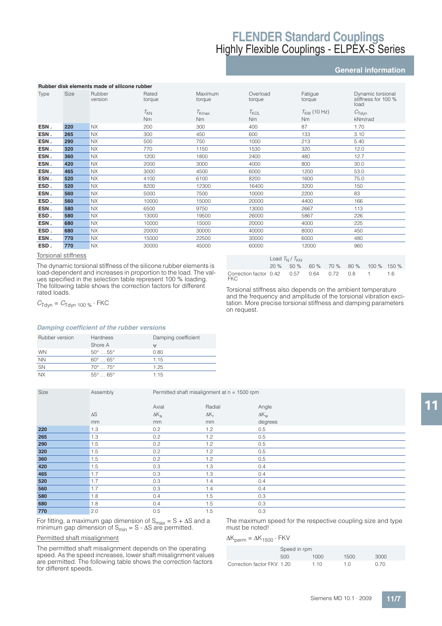### **General information**

|      |      | Rubber disk elements made of silicone rubber |                 |                   |                    |                         |                                                  |
|------|------|----------------------------------------------|-----------------|-------------------|--------------------|-------------------------|--------------------------------------------------|
| Type | Size | Rubber<br>version                            | Rated<br>torque | Maximum<br>torque | Overload<br>torque | Fatigue<br>torque       | Dynamic torsional<br>stiffness for 100 %<br>load |
|      |      |                                              | $T_{KN}$        | $\tau_{\rm Kmax}$ | $T_{\text{KOL}}$   | $T_{\text{KW}}$ (10 Hz) | $C_{\text{Tdyn}}$                                |
|      |      |                                              | N <sub>m</sub>  | N <sub>m</sub>    | N <sub>m</sub>     | <b>Nm</b>               | kNm/rad                                          |
| ESN. | 220  | <b>NX</b>                                    | 200             | 300               | 400                | 87                      | 1.70                                             |
| ESN. | 265  | <b>NX</b>                                    | 300             | 450               | 600                | 133                     | 3.10                                             |
| ESN. | 290  | <b>NX</b>                                    | 500             | 750               | 1000               | 213                     | 5.40                                             |
| ESN. | 320  | <b>NX</b>                                    | 770             | 1150              | 1530               | 320                     | 12.0                                             |
| ESN. | 360  | <b>NX</b>                                    | 1200            | 1800              | 2400               | 480                     | 12.7                                             |
| ESN. | 420  | <b>NX</b>                                    | 2000            | 3000              | 4000               | 800                     | 30.0                                             |
| ESN. | 465  | <b>NX</b>                                    | 3000            | 4500              | 6000               | 1200                    | 53.0                                             |
| ESN. | 520  | <b>NX</b>                                    | 4100            | 6100              | 8200               | 1600                    | 75.0                                             |
| ESD. | 520  | <b>NX</b>                                    | 8200            | 12300             | 16400              | 3200                    | 150                                              |
| ESN. | 560  | <b>NX</b>                                    | 5000            | 7500              | 10000              | 2200                    | 83                                               |
| ESD. | 560  | <b>NX</b>                                    | 10000           | 15000             | 20000              | 4400                    | 166                                              |
| ESN. | 580  | <b>NX</b>                                    | 6500            | 9750              | 13000              | 2667                    | 113                                              |
| ESD. | 580  | <b>NX</b>                                    | 13000           | 19500             | 26000              | 5867                    | 226                                              |
| ESN. | 680  | <b>NX</b>                                    | 10000           | 15000             | 20000              | 4000                    | 225                                              |
| ESD. | 680  | <b>NX</b>                                    | 20000           | 30000             | 40000              | 8000                    | 450                                              |
| ESN. | 770  | NX                                           | 15000           | 22500             | 30000              | 6000                    | 480                                              |
| ESD. | 770  | <b>NX</b>                                    | 30000           | 45000             | 60000              | 12000                   | 960                                              |

### Torsional stiffness

The dynamic torsional stiffness of the silicone rubber elements is load-dependent and increases in proportion to the load. The values specified in the selection table represent 100 % loading. The following table shows the correction factors for different rated loads.

|      | Load $T_N/T_{KN}$ |  |                                      |    |
|------|-------------------|--|--------------------------------------|----|
|      |                   |  | 20 % 50 % 60 % 70 % 80 % 100 % 150 % |    |
| FKC. |                   |  |                                      | 16 |

Torsional stiffness also depends on the ambient temperature and the frequency and amplitude of the torsional vibration excitation. More precise torsional stiffness and damping parameters on request.

| $C_{\text{Tdyn}} = C_{\text{Tdyn 100}} \cdot \text{FKC}$ |  |  |
|----------------------------------------------------------|--|--|
|----------------------------------------------------------|--|--|

#### **Damping coefficient of the rubber versions**

| Rubber version | <b>Hardness</b><br>Shore A | Damping coefficient<br>Ψ |
|----------------|----------------------------|--------------------------|
|                |                            |                          |
| <b>WN</b>      | $50^{\circ}$ $55^{\circ}$  | 0.80                     |
| <b>NN</b>      | $60^{\circ}$ $65^{\circ}$  | 1.15                     |
| SN             | $70^{\circ}$ $75^{\circ}$  | 1.25                     |
| <b>NX</b>      | $55^{\circ}$ 65 $^{\circ}$ | 1.15                     |

| Size | Assembly   | Permitted shaft misalignment at $n = 1500$ rpm |              |                    |
|------|------------|------------------------------------------------|--------------|--------------------|
|      |            | Axial                                          | Radial       | Angle              |
|      | $\Delta S$ | $\Delta K_{a}$                                 | $\Delta K_r$ | $\Delta K_{\rm w}$ |
|      | mm         | mm                                             | mm           | degrees            |
| 220  | 1.3        | 0.2                                            | 1.2          | 0.5                |
| 265  | 1.3        | 0.2                                            | 1.2          | 0.5                |
| 290  | 1.5        | 0.2                                            | 1.2          | 0.5                |
| 320  | 1.5        | 0.2                                            | 1.2          | 0.5                |
| 360  | 1.5        | 0.2                                            | 1.2          | 0.5                |
| 420  | 1.5        | 0.3                                            | 1.3          | 0.4                |
| 465  | 1.7        | 0.3                                            | 1.3          | 0.4                |
| 520  | 1.7        | 0.3                                            | 1.4          | 0.4                |
| 560  | 1.7        | 0.3                                            | 1.4          | 0.4                |

For fitting, a maximum gap dimension of  $S_{max} = S + \Delta S$  and a minimum gap dimension of  $S_{min} = S - \Delta S$  are permitted.

**580** 1.8 0.4 1.5 0.3 **680** 1.8 1.8 0.4 1.5 0.3 **770** 2.0 2.0 0.5 1.5 0.3

#### Permitted shaft misalignment

The permitted shaft misalignment depends on the operating speed. As the speed increases, lower shaft misalignment values are permitted. The following table shows the correction factors for different speeds.

The maximum speed for the respective coupling size and type must be noted!

 $\Delta K_{\text{perm}} = \Delta K_{1500} \cdot \text{FKV}$ 

|                            | Speed in rpm |      |      |      |  |  |  |  |  |  |  |
|----------------------------|--------------|------|------|------|--|--|--|--|--|--|--|
|                            | 500          | 1000 | 1500 | 3000 |  |  |  |  |  |  |  |
| Correction factor FKV 1.20 |              | 110  | 1 N  | 0.70 |  |  |  |  |  |  |  |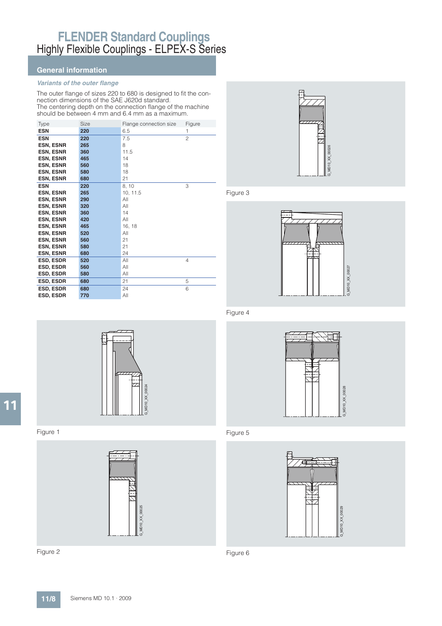## **General information**

### **Variants of the outer flange**

The outer flange of sizes 220 to 680 is designed to fit the connection dimensions of the SAE J620d standard. The centering depth on the connection flange of the machine should be between 4 mm and 6.4 mm as a maximum.

| Type             | Size | Flange connection size | Figure         |
|------------------|------|------------------------|----------------|
| <b>ESN</b>       | 220  | 6.5                    | 1              |
| <b>ESN</b>       | 220  | 7.5                    | $\overline{c}$ |
| <b>ESN. ESNR</b> | 265  | 8                      |                |
| <b>ESN. ESNR</b> | 360  | 11.5                   |                |
| <b>ESN, ESNR</b> | 465  | 14                     |                |
| <b>ESN, ESNR</b> | 560  | 18                     |                |
| <b>ESN, ESNR</b> | 580  | 18                     |                |
| <b>ESN, ESNR</b> | 680  | 21                     |                |
| <b>ESN</b>       | 220  | 8.10                   | 3              |
| <b>ESN. ESNR</b> | 265  | 10, 11.5               |                |
| <b>ESN, ESNR</b> | 290  | All                    |                |
| <b>ESN, ESNR</b> | 320  | All                    |                |
| <b>ESN, ESNR</b> | 360  | 14                     |                |
| <b>ESN, ESNR</b> | 420  | All                    |                |
| <b>ESN, ESNR</b> | 465  | 16.18                  |                |
| <b>ESN, ESNR</b> | 520  | All                    |                |
| <b>ESN, ESNR</b> | 560  | 21                     |                |
| <b>ESN, ESNR</b> | 580  | 21                     |                |
| <b>ESN, ESNR</b> | 680  | 24                     |                |
| <b>ESD. ESDR</b> | 520  | All                    | $\overline{4}$ |
| <b>ESD, ESDR</b> | 560  | All                    |                |
| <b>ESD, ESDR</b> | 580  | All                    |                |
| <b>ESD, ESDR</b> | 680  | 21                     | 5              |
| <b>ESD, ESDR</b> | 680  | 24                     | 6              |
| <b>ESD, ESDR</b> | 770  | All                    |                |
|                  |      |                        |                |



Figure 3



Figure 4



Figure 5



Figure 6



Figure 1



Figure 2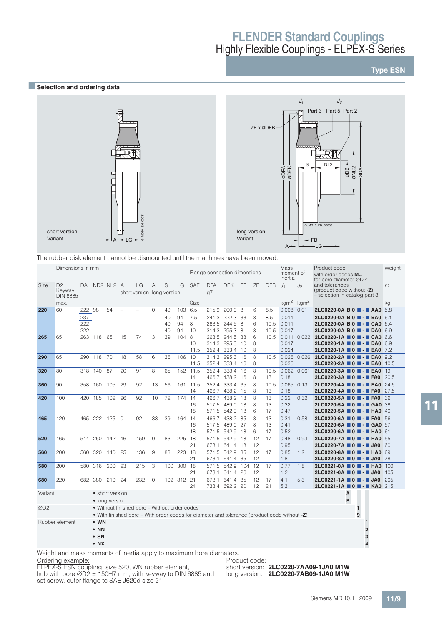**Type ESN**



The rubber disk element cannot be dismounted until the machines have been moved.

|                 | Dimensions in mm                                                    |        |             |                                   |          |                                               |          |    |         |            | Flange connection dimensions                                                                 |                                  |           |               |            | Mass<br>moment of               |                 | Product code<br>with order codes M                          | Weight |
|-----------------|---------------------------------------------------------------------|--------|-------------|-----------------------------------|----------|-----------------------------------------------|----------|----|---------|------------|----------------------------------------------------------------------------------------------|----------------------------------|-----------|---------------|------------|---------------------------------|-----------------|-------------------------------------------------------------|--------|
|                 |                                                                     |        |             |                                   |          |                                               |          |    |         |            |                                                                                              |                                  |           |               |            | inertia                         |                 | for bore diameter ØD2                                       |        |
| Size            | D <sub>2</sub><br>Keyway                                            | DA.    |             | ND <sub>2</sub> NL <sub>2</sub> A |          | LG                                            | A        | S  | LG      | <b>SAE</b> | <b>DFA</b>                                                                                   | <b>DFK</b>                       | <b>FB</b> | ZF            | <b>DFB</b> | $J_1$                           | J2              | and tolerances<br>(product code without $-Z$ )              | m      |
|                 | <b>DIN 6885</b>                                                     |        |             |                                   |          | short version long version                    |          |    |         |            | q7                                                                                           |                                  |           |               |            |                                 |                 | $-$ selection in catalog part 3                             |        |
|                 | max.                                                                |        |             |                                   |          |                                               |          |    |         | Size       |                                                                                              |                                  |           |               |            | $\text{kgm}^2$ kgm <sup>2</sup> |                 |                                                             | kg     |
| 220             | 60                                                                  | 222 98 |             | 54                                |          |                                               | $\Omega$ | 49 | 103     | 6.5        |                                                                                              | 215.9 200.0 8                    |           | 6             | 8.5        | $0.008$ $0.01$                  |                 | 2LC0220-0A B 0 - AA0 5.8                                    |        |
|                 |                                                                     | 237    |             |                                   |          |                                               |          | 40 | 94      | 7.5        |                                                                                              | 241.3 222.3 33                   |           | 8             | 8.5        | 0.011                           |                 | 2LC0220-0A B 0 - BA0 6.1                                    |        |
|                 |                                                                     | 222    |             |                                   |          |                                               |          | 40 | 94      | 8          |                                                                                              | 263.5 244.5 8                    |           | 6             | 10.5       | 0.011                           |                 | 2LC0220-0A B 0 - CA0 6.4                                    |        |
|                 |                                                                     | 222    |             |                                   |          |                                               |          | 40 | 94      | 10         |                                                                                              | 314.3 295.3 8                    |           | 8             | 10.5       | 0.017                           |                 | 2LC0220-0A B 0 ■ - ■ DA0 6.9                                |        |
| 265             | 65                                                                  |        | 263 118     | 65                                | 15       | 74                                            | 3        | 39 | 104     | 8          | 263.5                                                                                        | 244.5                            | 38        | 6             | 10.5       | $0.011$ $0.022$                 |                 | 2LC0220-1A 0 - CA0 6.6                                      |        |
|                 |                                                                     |        |             |                                   |          |                                               |          |    |         | 10         |                                                                                              | 314.3 295.3 10                   |           | 8             |            | 0.017                           |                 | 2LC0220-1A 0 - DA0 6.9                                      |        |
|                 |                                                                     |        |             |                                   |          |                                               |          |    |         | 11.5       |                                                                                              | 352.4 333.4 10                   |           | 8             |            | 0.024                           |                 | 2LC0220-1A 0 - EA0 7.2                                      |        |
| 290             | 65                                                                  | 290    | 118         | 70                                | 18       | 58                                            | 6        | 36 | 106     | 10         | 314.3                                                                                        | 295.3                            | 16        | 8             | 10.5       |                                 |                 | 0.026 0.026 2LC0220-2A 0 - DA0 9.2                          |        |
|                 |                                                                     |        |             |                                   |          |                                               |          |    |         | 11.5       |                                                                                              | 352.4 333.4 16                   |           | 8             |            | 0.036                           |                 | 2LC0220-2A <b>0 ■ - ■ EA0</b> 10.5                          |        |
| 320             | 80                                                                  |        | 318 140     | 87                                | 20       | 91                                            | 8        | 65 |         | 152 11.5   | 352.4                                                                                        | 333.4 16                         |           | 8             | 10.5       |                                 | $0.062$ $0.061$ | 2LC0220-3A 0 - EA0 19                                       |        |
|                 |                                                                     |        |             |                                   |          |                                               |          |    |         | 14         |                                                                                              | 466.7 438.2 16                   |           | 8             | 13         | 0.18                            |                 | 2LC0220-3A 0 <b>0 - FA0</b> 20.5                            |        |
| 360             | 90                                                                  |        | 358 160     | 105                               | 29       | 92                                            | 13       | 56 | 161     | 11.5       | 352.4                                                                                        | 333.4                            | 65        | 8             | 10.5       | $0.065$ $0.13$                  |                 | 2LC0220-4A 0 - EA0 24.5                                     |        |
|                 |                                                                     |        |             |                                   |          |                                               |          |    |         | 14         |                                                                                              | 466.7 438.2 15                   |           | 8             | 13         | 0.18                            |                 | 2LC0220-4A 0 <b>0 - FA0</b> 27.5                            |        |
| 420             | 100                                                                 |        | 420 185     | 102                               | 26       | 92                                            | 10       | 72 | 174     | 14         | 466.7                                                                                        | 438.2 18                         |           | 8             | 13         | 0.22                            | 0.32            | 2LC0220-5A ■ 0 ■ - ■ FA0 36                                 |        |
|                 |                                                                     |        |             |                                   |          |                                               |          |    |         | 16         | 517.5                                                                                        | 489.0 18                         |           | 8             | 13         | 0.32                            |                 | 2LC0220-5A 0 - GA0 38                                       |        |
|                 |                                                                     |        |             |                                   |          |                                               |          |    |         | 18         |                                                                                              | 571.5 542.9 18                   |           | 6             | 17         | 0.47                            |                 | 2LC0220-5A 0 - HAO 40                                       |        |
| 465             | 120                                                                 |        | 465 222 125 |                                   | $\Omega$ | 92                                            | 33       | 39 | 164     | 14         |                                                                                              | 466.7 438.2 85                   |           | 8             | 13         | 0.31                            | 0.58            | 2LC0220-6A 0 - FA0 56                                       |        |
|                 |                                                                     |        |             |                                   |          |                                               |          |    |         | 16         | 517.5                                                                                        | 489.0 27                         |           | 8             | 13         | 0.41                            |                 | 2LC0220-6A 0 - GA0 57                                       |        |
|                 |                                                                     |        |             |                                   |          |                                               |          |    |         | 18         | 571.5                                                                                        | 542.9 18                         |           | 6             | 17         | 0.52                            |                 | 2LC0220-6A <b>0 0 - HAO</b> 61                              |        |
| 520             | 165                                                                 |        | 514 250     | 142                               | - 16     | 159                                           | $\circ$  | 83 | 225     | 18         |                                                                                              | 571.5 542.9 18                   |           | 12            | 17         | 0.48                            | 0.93            | 2LC0220-7A 0 0 H- HAO 55                                    |        |
|                 |                                                                     |        |             |                                   |          |                                               |          |    |         | 21         |                                                                                              | 673.1 641.4 18                   |           | 12            |            | 0.95                            |                 | 2LC0220-7A ■ 0 ■ - ■ JA0 60                                 |        |
| 560             | 200                                                                 |        | 560 320     | 140                               | 25       | 136                                           | 9        | 83 | 223     | 18<br>21   |                                                                                              | 571.5 542.9 35<br>673.1 641.4 35 |           | 12<br>12      | 17         | 0.85<br>1.8                     | 1.2             | 2LC0220-8A 0 - HAO 69<br>2LC0220-8A <b>0 ■ - ■ JA0</b> 78   |        |
|                 |                                                                     |        |             |                                   |          |                                               |          |    | 100 300 |            |                                                                                              |                                  |           |               |            |                                 |                 |                                                             |        |
| 580             | 200                                                                 |        | 580 316 200 |                                   | 23       | 215                                           | 3        |    |         | 18<br>21   | 571.5                                                                                        | 542.9 104<br>673.1 641.4         | 26        | 12<br>12      | 17         | 0.77<br>1.2                     | 1.8             | 2LC0221-0A 0 <b>0 - HAO</b> 100<br>2LC0221-0A ■ 0 ■ - ■ JA0 | 105    |
|                 | 220                                                                 |        | 682 380     | 210                               | 24       | 232                                           | $\Omega$ |    | 102 312 | 21         | 673.1                                                                                        | 641.4                            | 85        | 12            | 17         | 4.1                             | 5.3             | 2LC0221-1A 0 <b>- J</b> JA0                                 | 205    |
| 680             |                                                                     |        |             |                                   |          |                                               |          |    |         | 24         |                                                                                              | 733.4 692.2 20                   |           | 12            | 21         | 5.3                             |                 | 2LC0221-1A 0 <b>0 ■ - ■ KA0</b> 215                         |        |
| Variant         |                                                                     |        |             | • short version                   |          |                                               |          |    |         |            |                                                                                              |                                  |           |               |            |                                 |                 | Α                                                           |        |
|                 |                                                                     |        |             |                                   |          |                                               |          |    |         |            |                                                                                              |                                  |           |               |            |                                 |                 | в                                                           |        |
|                 |                                                                     |        |             | • long version                    |          |                                               |          |    |         |            |                                                                                              |                                  |           |               |            |                                 |                 |                                                             |        |
| ØD <sub>2</sub> |                                                                     |        |             |                                   |          | • Without finished bore – Without order codes |          |    |         |            |                                                                                              |                                  |           |               |            |                                 |                 | 1                                                           |        |
|                 |                                                                     |        |             |                                   |          |                                               |          |    |         |            | • With finished bore – With order codes for diameter and tolerance (product code without -Z) |                                  |           |               |            |                                 |                 | 9                                                           |        |
|                 | Rubber element                                                      |        | $\cdot$ WN  |                                   |          |                                               |          |    |         |            |                                                                                              |                                  |           |               |            |                                 |                 |                                                             |        |
|                 |                                                                     |        | $\cdot$ NN  |                                   |          |                                               |          |    |         |            |                                                                                              |                                  |           |               |            |                                 |                 | $\overline{2}$                                              |        |
|                 |                                                                     |        | $\cdot$ SN  |                                   |          |                                               |          |    |         |            |                                                                                              |                                  |           |               |            |                                 |                 | 3                                                           |        |
|                 |                                                                     |        | $\cdot$ NX  |                                   |          |                                               |          |    |         |            |                                                                                              |                                  |           |               |            |                                 |                 | $\overline{4}$                                              |        |
|                 | Weight and mass moments of inertia apply to maximum bore diameters. |        |             |                                   |          |                                               |          |    |         |            |                                                                                              |                                  |           |               |            |                                 |                 |                                                             |        |
|                 | Ordering example:                                                   |        |             |                                   |          |                                               |          |    |         |            |                                                                                              |                                  |           | Product code: |            |                                 |                 |                                                             |        |

ELPEX-S ESN coupling, size 520, WN rubber element, hub with bore  $\emptyset$ D2 = 150H7 mm, with keyway to DIN 6885 and set screw, outer flange to SAE J620d size 21.

Product code: short version: **2LC0220-7AA09-1JA0 M1W** long version: **2LC0220-7AB09-1JA0 M1W**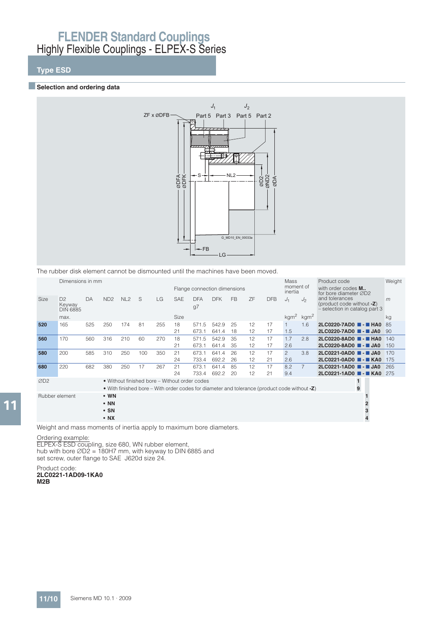# **Type ESD**

### **Exercise Selection and ordering data**



The rubber disk element cannot be dismounted until the machines have been moved.

|                 | Dimensions in mm                            |     |                                                      |     |     |     |            | Flange connection dimensions                                                                 |            |           |                 |            | Mass<br>moment of       |                | Product code<br>with order codes <b>M</b>                                                                        | Weight |
|-----------------|---------------------------------------------|-----|------------------------------------------------------|-----|-----|-----|------------|----------------------------------------------------------------------------------------------|------------|-----------|-----------------|------------|-------------------------|----------------|------------------------------------------------------------------------------------------------------------------|--------|
| <b>Size</b>     | D <sup>2</sup><br>Keyway<br><b>DIN 6885</b> | DA  | ND <sub>2</sub>                                      | NL2 | S   | LG  | <b>SAE</b> | <b>DFA</b><br>g <sub>7</sub>                                                                 | <b>DFK</b> | <b>FB</b> | ZF              | <b>DFB</b> | inertia<br>$J_1$        | J <sub>2</sub> | for bore diameter $\varnothing$ D2<br>and tolerances<br>(product code without -Z)<br>selection in catalog part 3 | m      |
|                 | max.                                        |     |                                                      |     |     |     | Size       |                                                                                              |            |           |                 |            | $kgm2$ kgm <sup>2</sup> |                |                                                                                                                  | kg     |
| 520             | 165                                         | 525 | 250                                                  | 174 | 81  | 255 | 18         | 571.5                                                                                        | 542.9      | 25        | 12 <sup>°</sup> | 17         |                         | 1.6            | 2LC0220-7AD0 ■ - ■ HA0                                                                                           | 85     |
|                 |                                             |     |                                                      |     |     |     | 21         | 673.1                                                                                        | 641.4      | 18        | 12              | 17         | 1.5                     |                | 2LC0220-7AD0 ■ - ■ JA0                                                                                           | 90     |
| 560             | 170                                         | 560 | 316                                                  | 210 | 60  | 270 | 18         | 571.5                                                                                        | 542.9      | 35        | 12              | 17         | 1.7                     | 2.8            | 2LC0220-8AD0 ■ - ■ HA0                                                                                           | 140    |
|                 |                                             |     |                                                      |     |     |     | 21         | 673.1                                                                                        | 641.4      | 35        | 12              | 17         | 2.6                     |                | 2LC0220-8AD0 <b>4 - 4 JA0</b>                                                                                    | 150    |
| 580             | 200                                         | 585 | 310                                                  | 250 | 100 | 350 | 21         | 673.1                                                                                        | 641.4      | 26        | 12              | 17         | $\overline{c}$          | 3.8            | 2LC0221-0AD0 <b>4 - 4 JA0</b>                                                                                    | 170    |
|                 |                                             |     |                                                      |     |     |     | 24         | 733.4                                                                                        | 692.2      | 26        | 12              | 21         | 2.6                     |                | 2LC0221-0AD0 ■ - ■ KA0                                                                                           | 175    |
| 680             | 220                                         | 682 | 380                                                  | 250 | 17  | 267 | 21         | 673.1                                                                                        | 641.4      | 85        | 12              | 17         | 8.2                     |                | 2LC0221-1AD0 <b>4 - 4 JA0</b>                                                                                    | 265    |
|                 |                                             |     |                                                      |     |     |     | 24         | 733.4                                                                                        | 692.2      | -20       | 12              | 21         | 9.4                     |                | 2LC0221-1AD0 ■ - ■ KA0                                                                                           | 275    |
| ØD <sub>2</sub> |                                             |     |                                                      |     |     |     |            | • Without finished bore – Without order codes                                                |            |           |                 |            |                         |                | 1.                                                                                                               |        |
|                 |                                             |     |                                                      |     |     |     |            | • With finished bore – With order codes for diameter and tolerance (product code without -Z) |            |           |                 |            |                         |                | 9                                                                                                                |        |
| Rubber element  |                                             |     | $\cdot$ WN<br>$\cdot$ NN<br>$\cdot$ SN<br>$\cdot$ NX |     |     |     |            |                                                                                              |            |           |                 |            |                         |                |                                                                                                                  |        |

Weight and mass moments of inertia apply to maximum bore diameters.

#### Ordering example:

ELPEX-S ESD coupling, size 680, WN rubber element, hub with bore  $\emptyset$ D2 = 180H7 mm, with keyway to DIN 6885 and set screw, outer flange to SAE J620d size 24.

Product code: **2LC0221-1AD09-1KA0 M2B**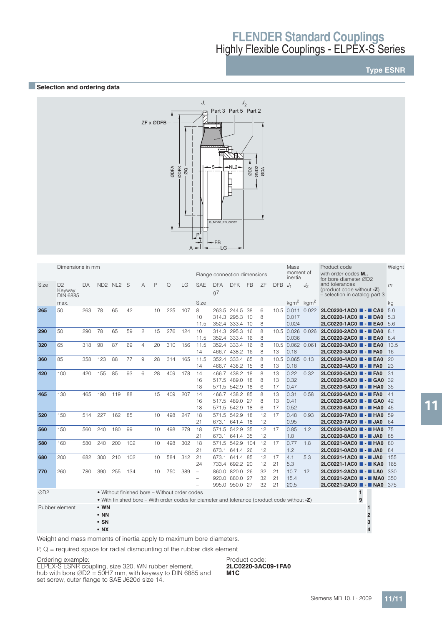**Type ESNR**

### **BSelection and ordering data**



|                 |                                             | Dimensions in mm |              |                                               |     |                |    |     |     | Flange connection dimensions |                                                                                              |                 |    |    |      | Mass<br>moment of                 |         | Product code                                                                 | Weight |
|-----------------|---------------------------------------------|------------------|--------------|-----------------------------------------------|-----|----------------|----|-----|-----|------------------------------|----------------------------------------------------------------------------------------------|-----------------|----|----|------|-----------------------------------|---------|------------------------------------------------------------------------------|--------|
|                 |                                             |                  |              |                                               |     |                |    |     |     |                              |                                                                                              |                 |    |    |      | inertia                           |         | with order codes M<br>for bore diameter ØD2                                  |        |
| Size            | D <sub>2</sub><br>Keyway<br><b>DIN 6885</b> | DA               |              | ND <sub>2</sub> NL <sub>2</sub> S             |     | A              | P  | Q   | LG  | <b>SAE</b>                   | <b>DFA</b><br>g7                                                                             | DFK FB          |    | ZF | DFB  | $J_1$                             | $J_{2}$ | and tolerances<br>(product code without -Z)<br>- selection in catalog part 3 | m      |
|                 | max.                                        |                  |              |                                               |     |                |    |     |     | Size                         |                                                                                              |                 |    |    |      | kgm <sup>2</sup> kgm <sup>2</sup> |         |                                                                              | kg     |
| 265             | 50                                          | 263              | 78           | 65                                            | 42  |                | 10 | 225 | 107 | 8                            | 263.5                                                                                        | 244.5           | 38 | 6  |      |                                   |         | 10.5 0.011 0.022 2LC0220-1AC0 - CA0                                          | 5.0    |
|                 |                                             |                  |              |                                               |     |                |    |     |     | 10                           |                                                                                              | 314.3 295.3 10  |    | 8  |      | 0.017                             |         | 2LC0220-1AC0 <b>2 - DA0</b>                                                  | 5.3    |
|                 |                                             |                  |              |                                               |     |                |    |     |     | 11.5                         |                                                                                              | 352.4 333.4 10  |    | 8  |      | 0.024                             |         | 2LC0220-1AC0 <b>. EA0</b> 5.6                                                |        |
| 290             | 50                                          | 290              | 78           | 65                                            | 59  | $\overline{c}$ | 15 | 276 | 124 | 10                           | 314.3                                                                                        | 295.3 16        |    | 8  | 10.5 | 0.026 0.026                       |         | 2LC0220-2AC0 - DA0 8.1                                                       |        |
|                 |                                             |                  |              |                                               |     |                |    |     |     | 11.5                         |                                                                                              | 352.4 333.4 16  |    | 8  |      | 0.036                             |         | 2LC0220-2AC0 <b>. EA0</b> 8.4                                                |        |
| 320             | 65                                          | 318              | 98           | 87                                            | 69  | $\overline{4}$ | 20 | 310 | 156 | 11.5                         |                                                                                              | 352.4 333.4 16  |    | 8  | 10.5 | 0.062 0.061                       |         | 2LC0220-3AC0 <b>CD</b> - EA0                                                 | 13.5   |
|                 |                                             |                  |              |                                               |     |                |    |     |     | 14                           |                                                                                              | 466.7 438.2 16  |    | 8  | 13   | 0.18                              |         | 2LC0220-3AC0 ■ - ■ FA0                                                       | 16     |
| 360             | 85                                          | 358              | 123          | 88                                            | 77  | 9              | 28 | 314 | 165 | 11.5                         | 352.4                                                                                        | 333.4 65        |    | 8  | 10.5 | 0.065                             | 0.13    | 2LC0220-4AC0 ■ - ■ EA0                                                       | 20     |
|                 |                                             |                  |              |                                               |     |                |    |     |     | 14                           | 466.7                                                                                        | 438.2 15        |    | 8  | 13   | 0.18                              |         | 2LC0220-4AC0 ■ - ■ FA0                                                       | 23     |
| 420             | 100                                         | 420              | 155          | 85                                            | 93  | 6              | 28 | 409 | 178 | 14                           | 466.7                                                                                        | 438.2 18        |    | 8  | 13   | 0.22                              | 0.32    | 2LC0220-5AC0 ■ - ■ FA0                                                       | 31     |
|                 |                                             |                  |              |                                               |     |                |    |     |     | 16                           |                                                                                              | 517.5 489.0 18  |    | 8  | 13   | 0.32                              |         | 2LC0220-5AC0 ■ - ■ GA0                                                       | 32     |
|                 |                                             |                  |              |                                               |     |                |    |     |     | 18                           |                                                                                              | 571.5 542.9 18  |    | 6  | 17   | 0.47                              |         | 2LC0220-5AC0 ■ - ■ HA0                                                       | 35     |
| 465             | 130                                         | 465              | 190          | 119                                           | 88  |                | 15 | 409 | 207 | 14                           |                                                                                              | 466.7 438.2 85  |    | 8  | 13   | 0.31                              | 0.58    | 2LC0220-6AC0 ■ - ■ FA0                                                       | 41     |
|                 |                                             |                  |              |                                               |     |                |    |     |     | 16                           | 517.5                                                                                        | 489.0 27        |    | 8  | 13   | 0.41                              |         | 2LC0220-6AC0 <b>4 - 4 GA0</b>                                                | 42     |
|                 |                                             |                  |              |                                               |     |                |    |     |     | 18                           | 571.5                                                                                        | 542.9 18        |    | 6  | 17   | 0.52                              |         | 2LC0220-6AC0 ■ - ■ HA0                                                       | 45     |
| 520             | 150                                         | 514              | 227          | 162                                           | 85  |                | 10 | 498 | 247 | 18                           | 571.5                                                                                        | 542.9 18        |    | 12 | 17   | 0.48                              | 0.93    | 2LC0220-7AC0 ■ - ■ HA0                                                       | 59     |
|                 |                                             |                  |              |                                               |     |                |    |     |     | 21                           |                                                                                              | 673.1 641.4 18  |    | 12 |      | 0.95                              |         | 2LC0220-7AC0 <b>4 - 4 JA0</b>                                                | 64     |
| 560             | 150                                         | 560              | 240          | 180                                           | 99  |                | 10 | 498 | 279 | 18                           | 571.5                                                                                        | 542.9 35        |    | 12 | 17   | 0.85                              | 1.2     | 2LC0220-8AC0 ■ - ■ HA0                                                       | 75     |
|                 |                                             |                  |              |                                               |     |                |    |     |     | 21                           |                                                                                              | 673.1 641.4 35  |    | 12 |      | 1.8                               |         | 2LC0220-8AC0 <b>4 - 4 JA0</b>                                                | 85     |
| 580             | 160                                         | 580              | 240          | 200                                           | 102 |                | 10 | 498 | 302 | 18                           |                                                                                              | 571.5 542.9 104 |    | 12 | 17   | 0.77                              | 1.8     | 2LC0221-0AC0 ■ - ■ HA0                                                       | 80     |
|                 |                                             |                  |              |                                               |     |                |    |     |     | 21                           |                                                                                              | 673.1 641.4 26  |    | 12 |      | 1.2                               |         | 2LC0221-0AC0 <b>4 - 4 JA0</b>                                                | 84     |
| 680             | 200                                         | 682              | 300          | 210                                           | 102 |                | 10 | 584 | 312 | 21                           | 673.1                                                                                        | 641.4 85        |    | 12 | 17   | 4.1                               | 5.3     | 2LC0221-1AC0 <b>4 - 4 JA0</b>                                                | 155    |
|                 |                                             |                  |              |                                               |     |                |    |     |     | 24                           |                                                                                              | 733.4 692.2 20  |    | 12 | 21   | 5.3                               |         | 2LC0221-1AC0 ■ - ■ KA0                                                       | 165    |
| 770             | 260                                         | 780              | 390          | 255                                           | 134 |                | 10 | 750 | 389 | $\overline{\phantom{a}}$     |                                                                                              | 860.0 820.0 26  |    | 32 | 21   | 10.7                              | 12      | 2LC0221-2AC0 ■ - ■ LA0                                                       | 330    |
|                 |                                             |                  |              |                                               |     |                |    |     |     | $\overline{\phantom{0}}$     |                                                                                              | 920.0 880.0 27  |    | 32 | 21   | 15.4                              |         | 2LC0221-2AC0 ■ - ■ MA0                                                       | 350    |
|                 |                                             |                  |              |                                               |     |                |    |     |     |                              |                                                                                              | 995.0 950.0 27  |    | 32 | 21   | 20.5                              |         | 2LC0221-2AC0 - NA0 375                                                       |        |
| ØD <sub>2</sub> |                                             |                  |              | • Without finished bore – Without order codes |     |                |    |     |     |                              |                                                                                              |                 |    |    |      |                                   |         | $\mathbf{1}$                                                                 |        |
|                 |                                             |                  |              |                                               |     |                |    |     |     |                              | • With finished bore – With order codes for diameter and tolerance (product code without -Z) |                 |    |    |      |                                   |         | 9                                                                            |        |
|                 | Rubber element                              |                  | $\cdot$ WN   |                                               |     |                |    |     |     |                              |                                                                                              |                 |    |    |      |                                   |         | 1                                                                            |        |
|                 |                                             |                  | $\cdot$ NN   |                                               |     |                |    |     |     |                              |                                                                                              |                 |    |    |      |                                   |         | $\overline{\mathbf{2}}$                                                      |        |
|                 |                                             |                  | $\cdot$ SN   |                                               |     |                |    |     |     |                              |                                                                                              |                 |    |    |      |                                   |         | 3                                                                            |        |
|                 |                                             |                  | $\bullet$ NX |                                               |     |                |    |     |     |                              |                                                                                              |                 |    |    |      |                                   |         | $\overline{4}$                                                               |        |
|                 |                                             |                  |              |                                               |     |                |    |     |     |                              |                                                                                              |                 |    |    |      |                                   |         |                                                                              |        |

Weight and mass moments of inertia apply to maximum bore diameters.

 $P, Q$  = required space for radial dismounting of the rubber disk element

#### Ordering example:

ELPEX-S ESNR coupling, size 320, WN rubber element, hub with bore  $\emptyset$ D2 = 50H7 mm, with keyway to DIN 6885 and set screw, outer flange to SAE J620d size 14.

Product code: **2LC0220-3AC09-1FA0 M1C**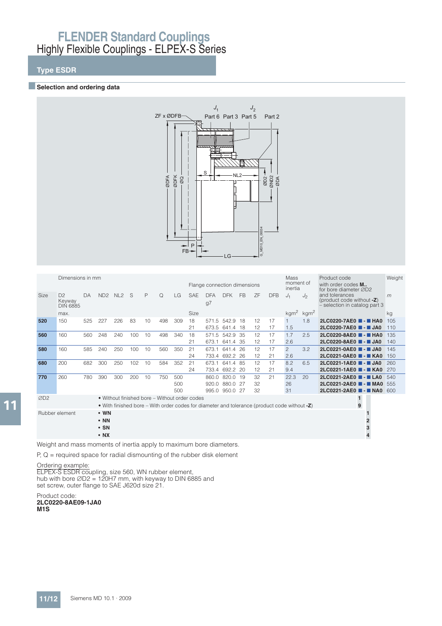## **Type ESDR**

### **BSelection and ordering data**



|                 | Dimensions in mm<br>Flange connection dimensions |     |                                                      |         |     |    |          |     |                                               |                  |                | Mass<br>moment of<br>inertia |           | Product code<br>with order codes <b>M</b><br>for bore diameter $\varnothing$ D <sub>2</sub> | Weight                                                                                       |                         |                                                                            |     |
|-----------------|--------------------------------------------------|-----|------------------------------------------------------|---------|-----|----|----------|-----|-----------------------------------------------|------------------|----------------|------------------------------|-----------|---------------------------------------------------------------------------------------------|----------------------------------------------------------------------------------------------|-------------------------|----------------------------------------------------------------------------|-----|
| Size            | D <sup>2</sup><br>Keyway<br><b>DIN 6885</b>      | DA  |                                                      | ND2 NL2 | S   | P  | $\Omega$ | LG  | <b>SAE</b>                                    | <b>DFA</b><br>g7 | <b>DFK</b>     | <b>FB</b>                    | <b>ZF</b> | <b>DFB</b>                                                                                  | $J_1$                                                                                        | $J_2$                   | and tolerances<br>(product code without -Z)<br>selection in catalog part 3 | m   |
|                 | max.                                             |     |                                                      |         |     |    |          |     | <b>Size</b>                                   |                  |                |                              |           |                                                                                             |                                                                                              | $kgm2$ kgm <sup>2</sup> |                                                                            | kg  |
| 520             | 150                                              | 525 | 227                                                  | 226     | 83  | 10 | 498      | 309 | 18                                            | 571.5            | 542.9          | -18                          | 12        | 17                                                                                          |                                                                                              | 1.8                     | 2LC0220-7AE0 <b>- HAO</b>                                                  | 105 |
|                 |                                                  |     |                                                      |         |     |    |          |     | 21                                            |                  | 673.5 641.4    | 18                           | 12        | 17                                                                                          | 1.5                                                                                          |                         | 2LC0220-7AE0 <b>- JJA0</b>                                                 | 110 |
| 560             | 160                                              | 560 | 248                                                  | 240     | 100 | 10 | 498      | 340 | 18                                            | 571.5            | 542.9          | -35                          | 12        | 17                                                                                          | 1.7                                                                                          | 2.5                     | 2LC0220-8AE0 <b>4 - HAO</b>                                                | 135 |
|                 |                                                  |     |                                                      |         |     |    |          |     | 21                                            | 673.1            | 641.4 35       |                              | 12        | 17                                                                                          | 2.6                                                                                          |                         | 2LC0220-8AE0 <b>- JJA0</b>                                                 | 140 |
| 580             | 160                                              | 585 | 240                                                  | 250     | 100 | 10 | 560      | 350 | 21                                            | 673.1            | 641.4 26       |                              | 12        | 17                                                                                          | $\overline{c}$                                                                               | 3.2                     | 2LC0221-0AE0 <b>- JJA0</b>                                                 | 145 |
|                 |                                                  |     |                                                      |         |     |    |          |     | 24                                            | 733.4            | 692.2 26       |                              | 12        | 21                                                                                          | 2.6                                                                                          |                         | 2LC0221-0AE0 <b>4 - KAO</b>                                                | 150 |
| 680             | 200                                              | 682 | 300                                                  | 250     | 102 | 10 | 584      | 352 | 21                                            | 673.1            | 641.4 85       |                              | 12        | 17                                                                                          | 8.2                                                                                          | 6.5                     | 2LC0221-1AE0 ■ - ■ JA0                                                     | 260 |
|                 |                                                  |     |                                                      |         |     |    |          |     | 24                                            |                  | 733.4 692.2 20 |                              | 12        | 21                                                                                          | 9.4                                                                                          |                         | 2LC0221-1AE0 ■ - ■ KA0                                                     | 270 |
| 770             | 260                                              | 780 | 390                                                  | 300     | 200 | 10 | 750      | 500 |                                               | 860.0            | 820.0          | -19                          | 32        | 21                                                                                          | 22.3                                                                                         | 20                      | 2LC0221-2AE0 ■ - ■ LA0                                                     | 540 |
|                 |                                                  |     |                                                      |         |     |    |          | 500 |                                               | 920.0            | 880.0          | -27                          | 32        |                                                                                             | 26                                                                                           |                         | 2LC0221-2AE0 ■ - ■ MA0                                                     | 555 |
|                 |                                                  |     |                                                      |         |     |    |          | 500 |                                               |                  | 995.0 950.0 27 |                              | 32        |                                                                                             | 31                                                                                           |                         | 2LC0221-2AE0 ■ - ■ NA0                                                     | 600 |
| ØD <sub>2</sub> |                                                  |     |                                                      |         |     |    |          |     | • Without finished bore – Without order codes |                  |                |                              |           |                                                                                             |                                                                                              |                         | 1.                                                                         |     |
|                 |                                                  |     |                                                      |         |     |    |          |     |                                               |                  |                |                              |           |                                                                                             | • With finished bore – With order codes for diameter and tolerance (product code without -Z) |                         | 9                                                                          |     |
|                 | Rubber element                                   |     | $\cdot$ WN<br>$\cdot$ NN<br>$\cdot$ SN<br>$\cdot$ NX |         |     |    |          |     |                                               |                  |                |                              |           |                                                                                             |                                                                                              |                         | 3<br>4                                                                     |     |

Weight and mass moments of inertia apply to maximum bore diameters.

 $P, Q$  = required space for radial dismounting of the rubber disk element

Ordering example:

ELPEX-S ESDR coupling, size 560, WN rubber element, hub with bore  $\emptyset$ D2 = 120H7 mm, with keyway to DIN 6885 and set screw, outer flange to SAE J620d size 21.

Product code: **2LC0220-8AE09-1JA0 M1S**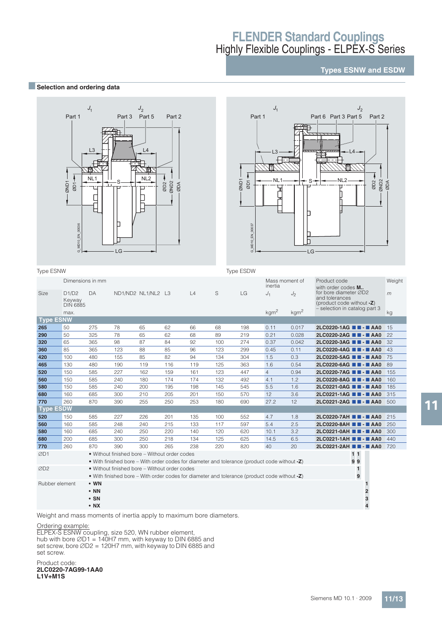### **Types ESNW and ESDW**

#### **■Selection and ordering data**



Type ESNW Type ESDW



|                  | Dimensions in mm                   |     |                                                                                              |     |     |     |     |     | inertia          | Mass moment of   | Product code<br>with order codes M                                   | Wei |
|------------------|------------------------------------|-----|----------------------------------------------------------------------------------------------|-----|-----|-----|-----|-----|------------------|------------------|----------------------------------------------------------------------|-----|
| Size             | D1/D2<br>Keyway<br><b>DIN 6885</b> | DA  | ND1/ND2 NL1/NL2 L3                                                                           |     |     | L4  | S   | LG  | $J_1$            | $J_2$            | for bore diameter ØD2<br>and tolerances<br>(product code without -Z) | m   |
|                  | max.                               |     |                                                                                              |     |     |     |     |     | kgm <sup>2</sup> | kgm <sup>2</sup> | - selection in catalog part 3                                        | kg  |
| <b>Type ESNW</b> |                                    |     |                                                                                              |     |     |     |     |     |                  |                  |                                                                      |     |
| 265              | 50                                 | 275 | 78                                                                                           | 65  | 62  | 66  | 68  | 198 | 0.11             | 0.017            | 2LC0220-1AG <b>N</b> - AA0                                           | 15  |
| 290              | 50                                 | 325 | 78                                                                                           | 65  | 62  | 68  | 89  | 219 | 0.21             | 0.028            | 2LC0220-2AG <b>14-14</b> AA0                                         | 22  |
| 320              | 65                                 | 365 | 98                                                                                           | 87  | 84  | 92  | 100 | 274 | 0.37             | 0.042            | 2LC0220-3AG <b>N - AA0</b>                                           | 32  |
| 360              | 85                                 | 365 | 123                                                                                          | 88  | 85  | 96  | 123 | 299 | 0.45             | 0.11             | 2LC0220-4AG <b>N - A</b> A0                                          | 43  |
| 420              | 100                                | 480 | 155                                                                                          | 85  | 82  | 94  | 134 | 304 | 1.5              | 0.3              | 2LC0220-5AG <b>N</b> - AA0                                           | 75  |
| 465              | 130                                | 480 | 190                                                                                          | 119 | 116 | 119 | 125 | 363 | 1.6              | 0.54             | 2LC0220-6AG <b>N</b> - AA0                                           | 89  |
| 520              | 150                                | 585 | 227                                                                                          | 162 | 159 | 161 | 123 | 447 | $\overline{4}$   | 0.94             | 2LC0220-7AG <b>N 4</b> - AA0                                         | 155 |
| 560              | 150                                | 585 | 240                                                                                          | 180 | 174 | 174 | 132 | 492 | 4.1              | 1.2              | 2LC0220-8AG <b>N - AA0</b>                                           | 160 |
| 580              | 150                                | 585 | 240                                                                                          | 200 | 195 | 198 | 145 | 545 | 5.5              | 1.6              | 2LC0221-0AG <b>N</b> - AA0                                           | 185 |
| 680              | 160                                | 685 | 300                                                                                          | 210 | 205 | 201 | 150 | 570 | 12               | 3.6              | 2LC0221-1AG <b>N</b> - AA0                                           | 315 |
| 770              | 260                                | 870 | 390                                                                                          | 255 | 250 | 253 | 180 | 690 | 27.2             | 12               | 2LC0221-2AG <b>NN</b> - AA0                                          | 500 |
| <b>Type ESDW</b> |                                    |     |                                                                                              |     |     |     |     |     |                  |                  |                                                                      |     |
| 520              | 150                                | 585 | 227                                                                                          | 226 | 201 | 135 | 100 | 552 | 4.7              | 1.8              | 2LC0220-7AH <b>N - AA0</b>                                           | 215 |
| 560              | 160                                | 585 | 248                                                                                          | 240 | 215 | 133 | 117 | 597 | 5.4              | 2.5              | 2LC0220-8AH <b>N</b> - AA0                                           | 250 |
| 580              | 160                                | 685 | 240                                                                                          | 250 | 220 | 140 | 120 | 620 | 10.1             | 3.2              | 2LC0221-0AH <b>NN</b> - AA0                                          | 300 |
| 680              | 200                                | 685 | 300                                                                                          | 250 | 218 | 134 | 125 | 625 | 14.5             | 6.5              | 2LC0221-1AH <b>N</b> - AA0                                           | 440 |
| 770              | 260                                | 870 | 390                                                                                          | 300 | 265 | 238 | 220 | 820 | 40               | 20               | 2LC0221-2AH <b>N - AA0</b>                                           | 720 |
| ØD1              |                                    |     | • Without finished bore – Without order codes                                                |     |     |     |     |     |                  |                  | 11                                                                   |     |
|                  |                                    |     | • With finished bore – With order codes for diameter and tolerance (product code without -Z) |     |     |     |     |     |                  |                  | 99                                                                   |     |
| ØD <sub>2</sub>  |                                    |     | • Without finished bore - Without order codes                                                |     |     |     |     |     |                  |                  |                                                                      |     |
|                  |                                    |     | • With finished bore – With order codes for diameter and tolerance (product code without -Z) |     |     |     |     |     |                  |                  | 9                                                                    |     |

Rubber element **• WN 1 • NN 2 • SN 3**

**• NX 4**

Weight and mass moments of inertia apply to maximum bore diameters.

Ordering example:

ELPEX-S ESNW coupling, size 520, WN rubber element, hub with bore  $\emptyset$ D1 = 140H7 mm, with keyway to DIN 6885 and set screw, bore  $\emptyset$ D2 = 120H7 mm, with keyway to DIN 6885 and set screw.

#### Product code: **2LC0220-7AG99-1AA0 L1V+M1S**

11

Weight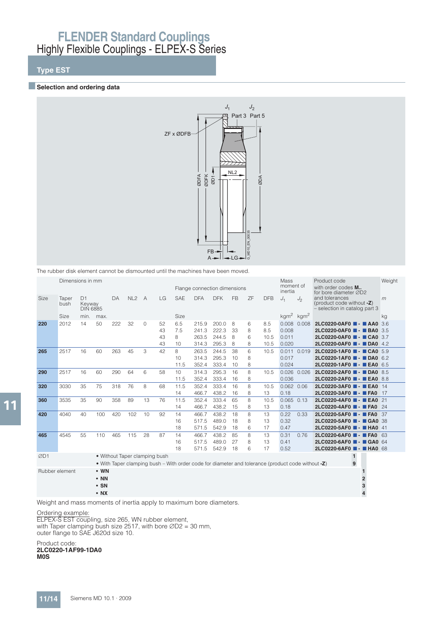# **Type EST**

#### **Exercise Selection and ordering data**



The rubber disk element cannot be dismounted until the machines have been moved.

|      | Dimensions in mm |                                             |            |     |                               |         |    |             |                                                                                                   |            |           |    |            | Mass<br>Product code<br>moment of |                         | Weight                                                                       |    |
|------|------------------|---------------------------------------------|------------|-----|-------------------------------|---------|----|-------------|---------------------------------------------------------------------------------------------------|------------|-----------|----|------------|-----------------------------------|-------------------------|------------------------------------------------------------------------------|----|
|      |                  |                                             |            |     |                               |         |    |             | Flange connection dimensions                                                                      |            |           |    |            | inertia                           |                         | with order codes M<br>for bore diameter ØD2                                  |    |
| Size | Taper<br>bush    | D <sub>1</sub><br>Keyway<br><b>DIN 6885</b> |            | DA  | NL2A                          |         | LG | <b>SAE</b>  | <b>DFA</b>                                                                                        | <b>DFK</b> | <b>FB</b> | ZF | <b>DFB</b> | $J_1$                             | $J_2$                   | and tolerances<br>(product code without -Z)<br>- selection in catalog part 3 | m  |
|      | Size             | min.                                        | max.       |     |                               |         |    | <b>Size</b> |                                                                                                   |            |           |    |            |                                   | $kgm2$ kgm <sup>2</sup> |                                                                              | kg |
| 220  | 2012             | 14                                          | 50         | 222 | 32                            | $\circ$ | 52 | 6.5         | 215.9                                                                                             | 200.0      | 8         | 6  | 8.5        |                                   | $0.008$ $0.008$         | 2LC0220-0AF0 - AA0 3.6                                                       |    |
|      |                  |                                             |            |     |                               |         | 43 | 7.5         | 241.3                                                                                             | 222.3      | 33        | 8  | 8.5        | 0.008                             |                         | 2LC0220-0AF0 <b>- BA0</b> 3.5                                                |    |
|      |                  |                                             |            |     |                               |         | 43 | 8           | 263.5                                                                                             | 244.5      | 8         | 6  | 10.5       | 0.011                             |                         | 2LC0220-0AF0 - CA0 3.7                                                       |    |
|      |                  |                                             |            |     |                               |         | 43 | 10          | 314.3                                                                                             | 295.3      | 8         | 8  | 10.5       | 0.020                             |                         | 2LC0220-0AF0 <b>- DA0</b> 4.2                                                |    |
| 265  | 2517             | 16                                          | 60         | 263 | 45                            | 3       | 42 | 8           | 263.5                                                                                             | 244.5      | 38        | 6  | 10.5       |                                   | 0.011 0.019             | 2LC0220-1AF0 <b>- CA0</b> 5.9                                                |    |
|      |                  |                                             |            |     |                               |         |    | 10          | 314.3                                                                                             | 295.3      | 10        | 8  |            | 0.017                             |                         | 2LC0220-1AF0 <b>- DA0</b> 6.2                                                |    |
|      |                  |                                             |            |     |                               |         |    | 11.5        | 352.4                                                                                             | 333.4      | 10        | 8  |            | 0.024                             |                         | 2LC0220-1AF0 <b>- EA0</b> 6.5                                                |    |
| 290  | 2517             | 16                                          | 60         | 290 | 64                            | 6       | 58 | 10          | 314.3                                                                                             | 295.3      | 16        | 8  | 10.5       |                                   | 0.026 0.026             | 2LC0220-2AF0 - DA0 8.5                                                       |    |
|      |                  |                                             |            |     |                               |         |    | 11.5        | 352.4                                                                                             | 333.4      | 16        | 8  |            | 0.036                             |                         | 2LC0220-2AF0 <b>. EA0</b> 8.8                                                |    |
| 320  | 3030             | 35                                          | 75         | 318 | 76                            | 8       | 68 | 11.5        | 352.4                                                                                             | 333.4      | 16        | 8  | 10.5       | $0.062$ $0.06$                    |                         | 2LC0220-3AF0 - EA0 14                                                        |    |
|      |                  |                                             |            |     |                               |         |    | 14          | 466.7                                                                                             | 438.2      | 16        | 8  | 13         | 0.18                              |                         | 2LC0220-3AF0 ■ - ■ FA0                                                       | 17 |
| 360  | 3535             | 35                                          | 90         | 358 | 89                            | 13      | 76 | 11.5        | 352.4                                                                                             | 333.4      | 65        | 8  | 10.5       | $0.065$ $0.13$                    |                         | 2LC0220-4AF0 - EA0 21                                                        |    |
|      |                  |                                             |            |     |                               |         |    | 14          | 466.7                                                                                             | 438.2      | 15        | 8  | 13         | 0.18                              |                         | 2LC0220-4AF0 - FA0 24                                                        |    |
| 420  | 4040             | 40                                          | 100        | 420 | 102                           | 10      | 92 | 14          | 466.7                                                                                             | 438.2      | 18        | 8  | 13         | 0.22                              | 0.33                    | 2LC0220-5AF0 - FA0 37                                                        |    |
|      |                  |                                             |            |     |                               |         |    | 16          | 517.5                                                                                             | 489.0      | 18        | 8  | 13         | 0.32                              |                         | 2LC0220-5AF0 - GA0 38                                                        |    |
|      |                  |                                             |            |     |                               |         |    | 18          | 571.5                                                                                             | 542.9      | 18        | 6  | 17         | 0.47                              |                         | 2LC0220-5AF0 - HAO 41                                                        |    |
| 465  | 4545             | 55                                          | 110        | 465 | 115                           | 28      | 87 | 14          | 466.7                                                                                             | 438.2      | 85        | 8  | 13         | 0.31                              | 0.76                    | 2LC0220-6AF0 <b>- FA0</b> 63                                                 |    |
|      |                  |                                             |            |     |                               |         |    | 16          | 517.5                                                                                             | 489.0      | 27        | 8  | 13         | 0.41                              |                         | 2LC0220-6AF0 - GA0 64                                                        |    |
|      |                  |                                             |            |     |                               |         |    | 18          | 571.5                                                                                             | 542.9      | 18        | 6  | 17         | 0.52                              |                         | 2LC0220-6AF0 - HAO 68                                                        |    |
| ØD1  |                  |                                             |            |     | • Without Taper clamping bush |         |    |             |                                                                                                   |            |           |    |            |                                   |                         | $\mathbf{1}$                                                                 |    |
|      |                  |                                             |            |     |                               |         |    |             | • With Taper clamping bush – With order code for diameter and tolerance (product code without -Z) |            |           |    |            |                                   |                         | 9                                                                            |    |
|      | Rubber element   |                                             | $\cdot$ WN |     |                               |         |    |             |                                                                                                   |            |           |    |            |                                   |                         |                                                                              |    |
|      |                  |                                             | $\cdot$ NN |     |                               |         |    |             |                                                                                                   |            |           |    |            |                                   |                         | $\overline{2}$                                                               |    |
|      |                  |                                             | $\cdot$ SN |     |                               |         |    |             |                                                                                                   |            |           |    |            |                                   |                         | 3                                                                            |    |
|      |                  |                                             | $\cdot$ NX |     |                               |         |    |             |                                                                                                   |            |           |    |            |                                   |                         | $\overline{4}$                                                               |    |

Weight and mass moments of inertia apply to maximum bore diameters.

Ordering example:

ELPEX-S EST coupling, size 265, WN rubber element, with Taper clamping bush size 2517, with bore  $\emptyset$ D2 = 30 mm, outer flange to SAE J620d size 10.

Product code: **2LC0220-1AF99-1DA0 M0S**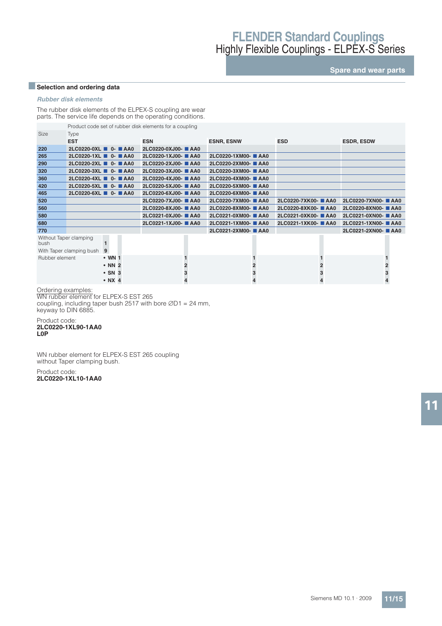**Spare and wear parts**

### **BSelection and ordering data**

### **Rubber disk elements**

The rubber disk elements of the ELPEX-S coupling are wear parts. The service life depends on the operating conditions.

Product code set of rubber disk elements for a coupling

| Size                           | Type                     |                        |                     |                    |                      |                      |
|--------------------------------|--------------------------|------------------------|---------------------|--------------------|----------------------|----------------------|
|                                | <b>EST</b>               |                        | <b>ESN</b>          | <b>ESNR, ESNW</b>  | <b>ESD</b>           | <b>ESDR, ESDW</b>    |
| 220                            |                          | 2LC0220-0XL ■ 0- ■ AA0 | 2LC0220-0XJ00- AA0  |                    |                      |                      |
| 265                            |                          | 2LC0220-1XL ■ 0- ■ AA0 | 2LC0220-1XJ00- AA0  | 2LC0220-1XM00- AA0 |                      |                      |
| 290                            |                          | 2LC0220-2XL ■ 0- ■ AA0 | 2LC0220-2XJ00- AA0  | 2LC0220-2XM00- AA0 |                      |                      |
| 320                            |                          | 2LC0220-3XL ■ 0- ■ AA0 | 2LC0220-3XJ00- AA0  | 2LC0220-3XM00- AA0 |                      |                      |
| 360                            |                          | 2LC0220-4XL 0- AA0     | 2LC0220-4XJ00- AA0  | 2LC0220-4XM00- AA0 |                      |                      |
| 420                            | 2LC0220-5XL 0- AA0       |                        | 2LC0220-5XJ00- AA0  | 2LC0220-5XM00- AA0 |                      |                      |
| 465                            |                          | 2LC0220-6XL ■ 0- ■ AA0 | 2LC0220-6XJ00- AA0  | 2LC0220-6XM00-■AA0 |                      |                      |
| 520                            |                          |                        | 2LC0220-7XJ00-■ AA0 | 2LC0220-7XM00- AA0 | 2LC0220-7XK00- ■ AA0 | 2LC0220-7XN00- AA0   |
| 560                            |                          |                        | 2LC0220-8XJ00- AA0  | 2LC0220-8XM00- AA0 | 2LC0220-8XK00- AA0   | 2LC0220-8XN00- ■ AA0 |
| 580                            |                          |                        | 2LC0221-0XJ00- AA0  | 2LC0221-0XM00-■AA0 | 2LC0221-0XK00-■AA0   | 2LC0221-0XN00- AA0   |
| 680                            |                          |                        | 2LC0221-1XJ00- AA0  | 2LC0221-1XM00- AA0 | 2LC0221-1XK00-■AA0   | 2LC0221-1XN00- AA0   |
| 770                            |                          |                        |                     | 2LC0221-2XM00-■AA0 |                      | 2LC0221-2XN00-■AA0   |
| Without Taper clamping<br>bush |                          |                        |                     |                    |                      |                      |
|                                | With Taper clamping bush | 9                      |                     |                    |                      |                      |
| Rubber element                 |                          | $\cdot$ WN 1           |                     |                    |                      |                      |
|                                |                          | $\cdot$ NN 2           |                     |                    |                      |                      |
|                                |                          | $\cdot$ SN 3           |                     |                    |                      |                      |
|                                |                          | $\cdot$ NX 4           |                     |                    |                      |                      |

Ordering examples:

WN rubber element for ELPEX-S EST 265 coupling, including taper bush 2517 with bore  $\emptyset$ D1 = 24 mm, keyway to DIN 6885.

Product code: **2LC0220-1XL90-1AA0 L0P**

WN rubber element for ELPEX-S EST 265 coupling without Taper clamping bush.

Product code: **2LC0220-1XL10-1AA0**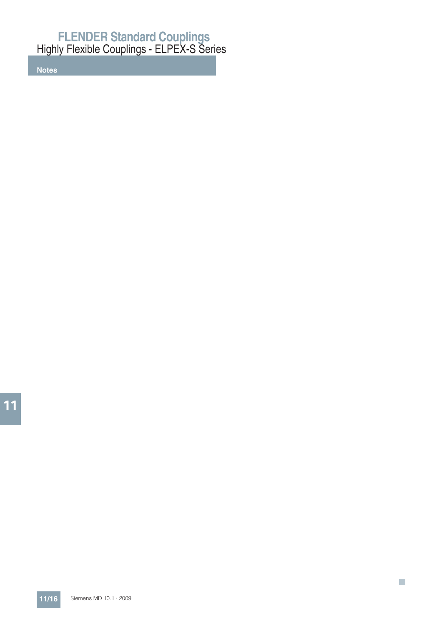**Notes**

**11/16** Siemens MD 10.1 · 2009

n.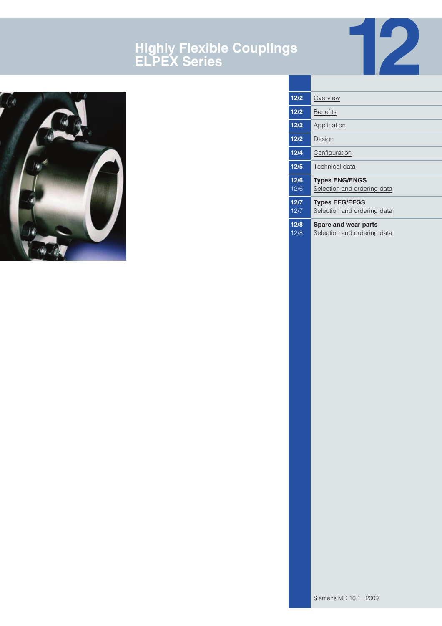# **Highly Flexible Couplings ELPEX Series**



| 12/2         | Overview                                             |
|--------------|------------------------------------------------------|
| 12/2         | <b>Benefits</b>                                      |
| 12/2         | Application                                          |
| 12/2         | Design                                               |
| 12/4         | Configuration                                        |
| 12/5         | <b>Technical data</b>                                |
| 12/6<br>12/6 | <b>Types ENG/ENGS</b><br>Selection and ordering data |
| 12/7<br>12/7 | <b>Types EFG/EFGS</b><br>Selection and ordering data |
| 12/8<br>12/8 | Spare and wear parts<br>Selection and ordering data  |

**12**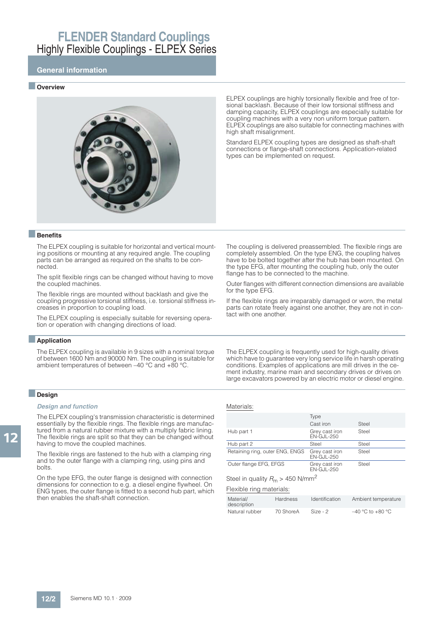### **General information**

#### ■ **Overview**



ELPEX couplings are highly torsionally flexible and free of torsional backlash. Because of their low torsional stiffness and damping capacity, ELPEX couplings are especially suitable for coupling machines with a very non uniform torque pattern. ELPEX couplings are also suitable for connecting machines with high shaft misalignment.

Standard ELPEX coupling types are designed as shaft-shaft connections or flange-shaft connections. Application-related types can be implemented on request.

#### ■**Benefits**

The ELPEX coupling is suitable for horizontal and vertical mounting positions or mounting at any required angle. The coupling parts can be arranged as required on the shafts to be connected.

The split flexible rings can be changed without having to move the coupled machines.

The flexible rings are mounted without backlash and give the coupling progressive torsional stiffness, i.e. torsional stiffness increases in proportion to coupling load.

The ELPEX coupling is especially suitable for reversing operation or operation with changing directions of load.

#### ■**Application**

The ELPEX coupling is available in 9 sizes with a nominal torque of between 1600 Nm and 90000 Nm. The coupling is suitable for ambient temperatures of between –40 °C and +80 °C.

The ELPEX coupling is frequently used for high-quality drives

which have to guarantee very long service life in harsh operating

The coupling is delivered preassembled. The flexible rings are completely assembled. On the type ENG, the coupling halves have to be bolted together after the hub has been mounted. On the type EFG, after mounting the coupling hub, only the outer

Outer flanges with different connection dimensions are available

If the flexible rings are irreparably damaged or worn, the metal parts can rotate freely against one another, they are not in con-

flange has to be connected to the machine.

### ■**Design**

#### **Design and function**

The ELPEX coupling's transmission characteristic is determined essentially by the flexible rings. The flexible rings are manufactured from a natural rubber mixture with a multiply fabric lining. The flexible rings are split so that they can be changed without having to move the coupled machines.

The flexible rings are fastened to the hub with a clamping ring and to the outer flange with a clamping ring, using pins and bolts.

On the type EFG, the outer flange is designed with connection dimensions for connection to e.g. a diesel engine flywheel. On ENG types, the outer flange is fitted to a second hub part, which then enables the shaft-shaft connection.

conditions. Examples of applications are mill drives in the cement industry, marine main and secondary drives or drives on large excavators powered by an electric motor or diesel engine.

#### Materials:

for the type EFG.

tact with one another.

|                                 | Type<br>Cast iron                   | Steel |
|---------------------------------|-------------------------------------|-------|
| Hub part 1                      | Grey cast iron<br>EN-GJL-250        | Steel |
| Hub part 2                      | Steel                               | Steel |
| Retaining ring, outer ENG, ENGS | Grey cast iron<br><b>EN-GJL-250</b> | Steel |
| Outer flange EFG, EFGS          | Grey cast iron<br><b>FN-GJI-250</b> | Steel |

### Steel in quality  $R_m > 450$  N/mm<sup>2</sup>

Flexible ring materials:

| Material/<br>description | <b>Hardness</b> | <b>Identification</b> | Ambient temperature  |
|--------------------------|-----------------|-----------------------|----------------------|
| Natural rubber           | 70 ShoreA       | $Size - 2$            | $-40$ °C to $+80$ °C |

12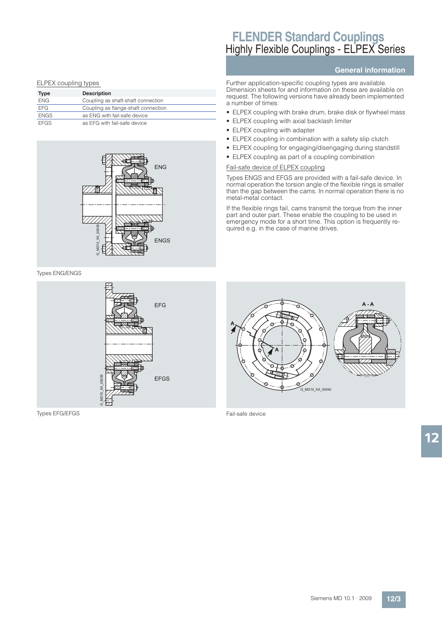### **General information**

Further application-specific coupling types are available. Dimension sheets for and information on these are available on request. The following versions have already been implemented a number of times:

- ELPEX coupling with brake drum, brake disk or flywheel mass
- ELPEX coupling with axial backlash limiter
- ELPEX coupling with adapter
- ELPEX coupling in combination with a safety slip clutch
- ELPEX coupling for engaging/disengaging during standstill
- ELPEX coupling as part of a coupling combination

### Fail-safe device of ELPEX coupling

Types ENGS and EFGS are provided with a fail-safe device. In normal operation the torsion angle of the flexible rings is smaller than the gap between the cams. In normal operation there is no metal-metal contact.

If the flexible rings fail, cams transmit the torque from the inner part and outer part. These enable the coupling to be used in emergency mode for a short time. This option is frequently required e.g. in the case of marine drives.



ELPEX coupling types

**Type Description**

ENG Coupling as shaft-shaft connection EFG Coupling as flange-shaft connection ENGS as ENG with fail-safe device EFGS as EFG with fail-safe device

ENG

ENGS

G\_MD10\_XX\_00038

**AD10 XX** 



Types EFG/EFGS



Fail-safe device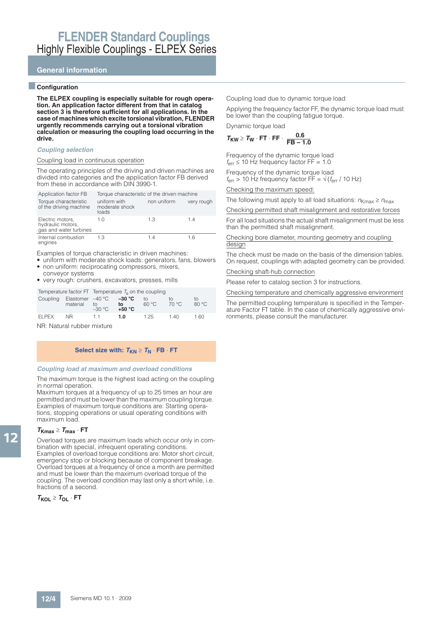## **General information**

#### ■**Configuration**

**The ELPEX coupling is especially suitable for rough operation. An application factor different from that in catalog section 3 is therefore sufficient for all applications. In the case of machines which excite torsional vibration, FLENDER urgently recommends carrying out a torsional vibration calculation or measuring the coupling load occurring in the drive.**

#### **Coupling selection**

#### Coupling load in continuous operation

The operating principles of the driving and driven machines are divided into categories and the application factor FB derived from these in accordance with DIN 3990-1.

| Application factor FB                                           | Torque characteristic of the driven machine |             |            |  |  |  |  |  |
|-----------------------------------------------------------------|---------------------------------------------|-------------|------------|--|--|--|--|--|
| Torque characteristic<br>of the driving machine                 | uniform with<br>moderate shock<br>loads     | non uniform | very rough |  |  |  |  |  |
| Electric motors,<br>hydraulic motors,<br>gas and water turbines | 1.0                                         | 1.3         | 14         |  |  |  |  |  |
| Internal combustion<br>engines                                  | 1.3                                         | 14          | 1.6        |  |  |  |  |  |

Examples of torque characteristic in driven machines:

- uniform with moderate shock loads: generators, fans, blowers • non uniform: reciprocating compressors, mixers,
- conveyor systems
- very rough: crushers, excavators, presses, mills

|          |                                | Temperature factor FT Temperature $T_a$ on the coupling |                            |       |                |             |  |  |  |
|----------|--------------------------------|---------------------------------------------------------|----------------------------|-------|----------------|-------------|--|--|--|
| Coupling | Elastomer $-40$ °C<br>material | tΩ<br>$-30 °C$                                          | $-30 °C$<br>to<br>$+50 °C$ | 60 °C | $70^{\circ}$ C | to<br>80 °C |  |  |  |
| FI PFX   | NR.                            | 11                                                      | 1.0                        | 1 25  | 140            | 1.60        |  |  |  |

NR: Natural rubber mixture

### **Select size with:**  $T_{KN} \geq T_N \cdot FB \cdot FT$

#### **Coupling load at maximum and overload conditions**

The maximum torque is the highest load acting on the coupling in normal operation.

Maximum torques at a frequency of up to 25 times an hour are permitted and must be lower than the maximum coupling torque. Examples of maximum torque conditions are: Starting operations, stopping operations or usual operating conditions with maximum load.

## $T_{Kmax} \geq T_{max} \cdot FT$

Overload torques are maximum loads which occur only in combination with special, infrequent operating conditions. Examples of overload torque conditions are: Motor short circuit, emergency stop or blocking because of component breakage. Overload torques at a frequency of once a month are permitted and must be lower than the maximum overload torque of the coupling. The overload condition may last only a short while, i.e. fractions of a second.

 $T_{\text{KOL}} \geq T_{\text{OL}} \cdot \text{FT}$ 

Coupling load due to dynamic torque load

Applying the frequency factor FF, the dynamic torque load must be lower than the coupling fatigue torque.

Dynamic torque load

$$
T_{KW} \geq T_W \cdot FT \cdot FF \cdot \frac{0.6}{FB-1.0}
$$

Frequency of the dynamic torque load  $f_{\text{err}} \le 10$  Hz frequency factor FF = 1.0

Frequency of the dynamic torque load  $f_{\text{err}} > 10$  Hz frequency factor FF =  $\sqrt{(f_{\text{err}}/10 \text{ Hz})}$ 

Checking the maximum speed:

The following must apply to all load situations:  $n_{Kmax} \ge n_{max}$ 

Checking permitted shaft misalignment and restorative forces

For all load situations the actual shaft misalignment must be less than the permitted shaft misalignment.

Checking bore diameter, mounting geometry and coupling design

The check must be made on the basis of the dimension tables. On request, couplings with adapted geometry can be provided.

#### Checking shaft-hub connection

Please refer to catalog section 3 for instructions.

Checking temperature and chemically aggressive environment

The permitted coupling temperature is specified in the Temperature Factor FT table. In the case of chemically aggressive environments, please consult the manufacturer.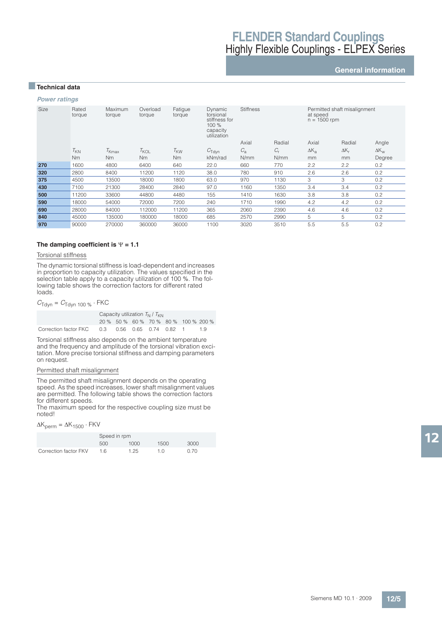## **General information**

## ■**Technical data**

**Power ratings**

| <b>Size</b><br><b>Stiffness</b><br>Fatigue<br>Rated<br>Maximum<br>Permitted shaft misalignment<br>Overload<br>Dynamic<br>torsional<br>torque<br>at speed<br>torque<br>torque<br>torque<br>stiffness for<br>$n = 1500$ rpm<br>100 %<br>capacity<br>utilization<br>Radial<br>Axial<br>Axial<br>Radial<br>Angle<br>$T_{KN}$<br>$C_{\rm a}$<br>$C_{r}$<br>$\tau_{\rm KW}$<br>$\Delta K_{a}$<br>$\Delta K_r$<br>$T_{KOL}$<br>$\Delta K_{\rm w}$<br>$T_{\text{Kmax}}$<br>$C_{\text{Tdvn}}$<br><b>Nm</b><br>N/mm<br><b>Nm</b><br>N <sub>m</sub><br>N/mm<br><b>Nm</b><br>kNm/rad<br>Degree<br>mm<br>mm<br>270<br>1600<br>4800<br>2.2<br>6400<br>640<br>22.0<br>660<br>770<br>2.2<br>0.2<br>320<br>38.0<br>780<br>2.6<br>2.6<br>2800<br>8400<br>11200<br>1120<br>910<br>0.2<br>3<br>З<br>375<br>4500<br>13500<br>63.0<br>970<br>1130<br>0.2<br>18000<br>1800<br>430<br>97.0<br>3.4<br>3.4<br>0.2<br>7100<br>21300<br>28400<br>2840<br>1160<br>1350<br>3.8<br>33600<br>155<br>1630<br>3.8<br>0.2<br>500<br>11200<br>44800<br>4480<br>1410<br>590<br>18000<br>54000<br>72000<br>7200<br>240<br>1990<br>4.2<br>4.2<br>0.2<br>1710<br>690<br>11200<br>365<br>2390<br>4.6<br>0.2<br>28000<br>84000<br>112000<br>2060<br>4.6<br>5<br>5<br>0.2<br>840<br>45000<br>18000<br>685<br>2990<br>135000<br>180000<br>2570<br>5.5<br>970<br>90000<br>3020<br>3510<br>5.5<br>0.2<br>270000<br>360000<br>36000<br>1100 |  |  |  |  |  |  |
|----------------------------------------------------------------------------------------------------------------------------------------------------------------------------------------------------------------------------------------------------------------------------------------------------------------------------------------------------------------------------------------------------------------------------------------------------------------------------------------------------------------------------------------------------------------------------------------------------------------------------------------------------------------------------------------------------------------------------------------------------------------------------------------------------------------------------------------------------------------------------------------------------------------------------------------------------------------------------------------------------------------------------------------------------------------------------------------------------------------------------------------------------------------------------------------------------------------------------------------------------------------------------------------------------------------------------------------------------------------------------------------------|--|--|--|--|--|--|
|                                                                                                                                                                                                                                                                                                                                                                                                                                                                                                                                                                                                                                                                                                                                                                                                                                                                                                                                                                                                                                                                                                                                                                                                                                                                                                                                                                                              |  |  |  |  |  |  |
|                                                                                                                                                                                                                                                                                                                                                                                                                                                                                                                                                                                                                                                                                                                                                                                                                                                                                                                                                                                                                                                                                                                                                                                                                                                                                                                                                                                              |  |  |  |  |  |  |
|                                                                                                                                                                                                                                                                                                                                                                                                                                                                                                                                                                                                                                                                                                                                                                                                                                                                                                                                                                                                                                                                                                                                                                                                                                                                                                                                                                                              |  |  |  |  |  |  |
|                                                                                                                                                                                                                                                                                                                                                                                                                                                                                                                                                                                                                                                                                                                                                                                                                                                                                                                                                                                                                                                                                                                                                                                                                                                                                                                                                                                              |  |  |  |  |  |  |
|                                                                                                                                                                                                                                                                                                                                                                                                                                                                                                                                                                                                                                                                                                                                                                                                                                                                                                                                                                                                                                                                                                                                                                                                                                                                                                                                                                                              |  |  |  |  |  |  |
|                                                                                                                                                                                                                                                                                                                                                                                                                                                                                                                                                                                                                                                                                                                                                                                                                                                                                                                                                                                                                                                                                                                                                                                                                                                                                                                                                                                              |  |  |  |  |  |  |
|                                                                                                                                                                                                                                                                                                                                                                                                                                                                                                                                                                                                                                                                                                                                                                                                                                                                                                                                                                                                                                                                                                                                                                                                                                                                                                                                                                                              |  |  |  |  |  |  |
|                                                                                                                                                                                                                                                                                                                                                                                                                                                                                                                                                                                                                                                                                                                                                                                                                                                                                                                                                                                                                                                                                                                                                                                                                                                                                                                                                                                              |  |  |  |  |  |  |
|                                                                                                                                                                                                                                                                                                                                                                                                                                                                                                                                                                                                                                                                                                                                                                                                                                                                                                                                                                                                                                                                                                                                                                                                                                                                                                                                                                                              |  |  |  |  |  |  |
|                                                                                                                                                                                                                                                                                                                                                                                                                                                                                                                                                                                                                                                                                                                                                                                                                                                                                                                                                                                                                                                                                                                                                                                                                                                                                                                                                                                              |  |  |  |  |  |  |
|                                                                                                                                                                                                                                                                                                                                                                                                                                                                                                                                                                                                                                                                                                                                                                                                                                                                                                                                                                                                                                                                                                                                                                                                                                                                                                                                                                                              |  |  |  |  |  |  |
|                                                                                                                                                                                                                                                                                                                                                                                                                                                                                                                                                                                                                                                                                                                                                                                                                                                                                                                                                                                                                                                                                                                                                                                                                                                                                                                                                                                              |  |  |  |  |  |  |
|                                                                                                                                                                                                                                                                                                                                                                                                                                                                                                                                                                                                                                                                                                                                                                                                                                                                                                                                                                                                                                                                                                                                                                                                                                                                                                                                                                                              |  |  |  |  |  |  |

#### The damping coefficient is  $\Psi$  = 1.1

#### Torsional stiffness

The dynamic torsional stiffness is load-dependent and increases in proportion to capacity utilization. The values specified in the selection table apply to a capacity utilization of 100 %. The following table shows the correction factors for different rated loads.

 $C_{\text{Tdyn}} = C_{\text{Tdyn 100}} \cdot \text{FKC}$ 

|                                                       |  | Capacity utilization $T_{N}/T_{KN}$ |  |                                      |     |
|-------------------------------------------------------|--|-------------------------------------|--|--------------------------------------|-----|
|                                                       |  |                                     |  | 20 % 50 % 60 % 70 % 80 % 100 % 200 % |     |
| Correction factor FKC  0.3  0.56  0.65  0.74  0.82  1 |  |                                     |  |                                      | 1 Q |

Torsional stiffness also depends on the ambient temperature and the frequency and amplitude of the torsional vibration excitation. More precise torsional stiffness and damping parameters on request.

#### Permitted shaft misalignment

The permitted shaft misalignment depends on the operating speed. As the speed increases, lower shaft misalignment values are permitted. The following table shows the correction factors for different speeds.

The maximum speed for the respective coupling size must be noted!

#### $\Delta K_{\text{perm}} = \Delta K_{1500} \cdot \text{FKV}$

|                       | Speed in rpm |      |      |      |  |  |  |  |  |  |  |
|-----------------------|--------------|------|------|------|--|--|--|--|--|--|--|
|                       | 500          | 1000 | 1500 | 3000 |  |  |  |  |  |  |  |
| Correction factor FKV | 16           | 1.25 | 1 N  | 0.70 |  |  |  |  |  |  |  |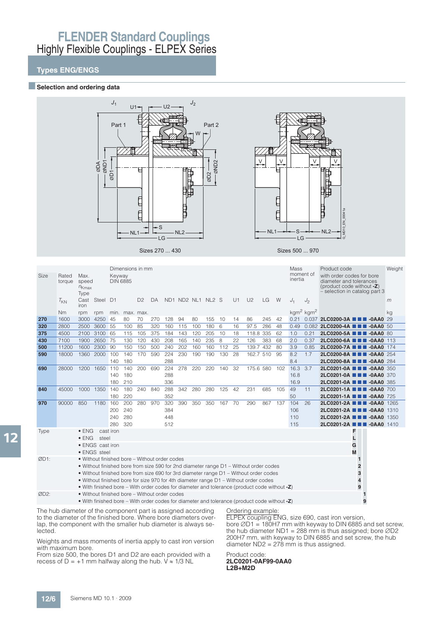## **Types ENG/ENGS**

#### **■Selection and ordering data**



| Size                                                                              | Rated<br>torque                                                                                   | Max.<br>speed<br>$n_{Kmax}$ |                                               | Keyway<br><b>DIN 6885</b> | Dimensions in mm |                |     |     |     |     |                   |     |    |                                                                                              |     |     | Mass<br>moment of<br>inertia |                                   | Product code<br>with order codes for bore<br>diameter and tolerances<br>(product code without -Z) |                         | Weight |
|-----------------------------------------------------------------------------------|---------------------------------------------------------------------------------------------------|-----------------------------|-----------------------------------------------|---------------------------|------------------|----------------|-----|-----|-----|-----|-------------------|-----|----|----------------------------------------------------------------------------------------------|-----|-----|------------------------------|-----------------------------------|---------------------------------------------------------------------------------------------------|-------------------------|--------|
|                                                                                   | $T_{KN}$                                                                                          | Type<br>iron                | Cast Steel                                    | D <sub>1</sub>            |                  | D <sub>2</sub> | DA  |     |     |     | ND1 ND2 NL1 NL2 S |     | U1 | U <sub>2</sub>                                                                               | LG  | W   | $J_1$                        | $J_2$                             | $-$ selection in catalog part 3                                                                   |                         | m      |
|                                                                                   | Nm                                                                                                | rpm                         | rpm                                           |                           | min. max. max.   |                |     |     |     |     |                   |     |    |                                                                                              |     |     |                              | kgm <sup>2</sup> kgm <sup>2</sup> |                                                                                                   |                         | kg     |
| 270                                                                               | 1600                                                                                              | 3000                        | 4250                                          | 45                        | 80               | 70             | 270 | 128 | 94  | 80  | 155               | 10  | 14 | 86                                                                                           | 245 | 42  | 0.21                         |                                   | 0.037 2LC0200-3A <b>111 -0AA0</b> 29                                                              |                         |        |
| 320                                                                               | 2800                                                                                              | 2500                        | 3600                                          | 55                        | 100              | 85             | 320 | 160 | 115 | 100 | 180               | 6   | 16 | 97.5                                                                                         | 286 | 48  | 0.49                         |                                   | 0.082 2LC0200-4A <b>1 1 -0AA0</b> 50                                                              |                         |        |
| 375                                                                               | 4500                                                                                              | 2100                        | 3100                                          | 65                        | 115              | 105            | 375 | 184 | 143 | 120 | 205               | 10  | 18 | 118.8                                                                                        | 335 | 62  | 1.0                          | 0.21                              | 2LC0200-5A <b>III</b> -0AA0 80                                                                    |                         |        |
| 430                                                                               | 7100                                                                                              | 1900                        | 2650                                          | 75                        | 130              | 120            | 430 | 208 | 165 | 140 | 235               | 8   | 22 | 126                                                                                          | 383 | 68  | 2.0                          | 0.37                              | 2LC0200-6A <b>100</b> -0AA0 113                                                                   |                         |        |
| 500                                                                               | 11200                                                                                             | 1600                        | 2300                                          | 90                        | 150              | 150            | 500 | 240 | 202 | 160 | 160               | 112 | 25 | 139.7                                                                                        | 432 | 80  | 3.9                          | 0.85                              | 2LC0200-7A <b>100 -0AA0</b> 174                                                                   |                         |        |
| 590                                                                               | 18000                                                                                             | 1360                        | 2000                                          | 100                       | 140              | 170            | 590 | 224 | 230 | 190 | 190               | 130 | 28 | 162.7 510                                                                                    |     | -95 | 8.2                          | 1.7                               | 2LC0200-8A <b>NN</b> -0AA0 254                                                                    |                         |        |
|                                                                                   |                                                                                                   |                             |                                               | 140                       | 180              |                |     | 288 |     |     |                   |     |    |                                                                                              |     |     | 8.4                          |                                   | 2LC0200-8A <b>1 1 -0AA0</b> 284                                                                   |                         |        |
| 690                                                                               | 28000                                                                                             | 1200                        | 1650                                          | 110                       | 140              | 200            | 690 | 224 | 278 | 220 | 220               | 140 | 32 | 175.6 580                                                                                    |     | 102 | 16.3 3.7                     |                                   | 2LC0201-0A <b>1 1 -0AA0</b> 350                                                                   |                         |        |
|                                                                                   |                                                                                                   |                             |                                               | 140                       | 180              |                |     | 288 |     |     |                   |     |    |                                                                                              |     |     | 16.8                         |                                   | 2LC0201-0A <b>N D D</b> -0AA0 370                                                                 |                         |        |
|                                                                                   |                                                                                                   |                             |                                               | 180                       | 210              |                |     | 336 |     |     |                   |     |    |                                                                                              |     |     | 16.9                         |                                   | 2LC0201-0A <b>1 1 -0AA0</b> 385                                                                   |                         |        |
| 840                                                                               | 45000                                                                                             | 1000                        | 1350                                          | 140                       | 180              | 240            | 840 | 288 | 342 | 280 | 280               | 125 | 42 | 231                                                                                          | 685 | 105 | 49                           | 11                                | 2LC0201-1A <b>1 1 -0AA0</b> 700                                                                   |                         |        |
|                                                                                   |                                                                                                   |                             |                                               | 180                       | 220              |                |     | 352 |     |     |                   |     |    |                                                                                              |     |     | 50                           |                                   | 2LC0201-1A <b>NN</b> -0AA0 725                                                                    |                         |        |
| 970                                                                               | 90000                                                                                             | 850                         | 1180                                          | 160                       | 200              | 280            | 970 | 320 | 390 |     | 350 350 167 70    |     |    | 290                                                                                          | 867 | 137 | 104                          | 26                                | 2LC0201-2A <b>100 -0AA0</b> 1265                                                                  |                         |        |
|                                                                                   |                                                                                                   |                             |                                               | 200                       | 240              |                |     | 384 |     |     |                   |     |    |                                                                                              |     |     | 106                          |                                   | 2LC0201-2A <b>100 1-0AA0</b> 1310                                                                 |                         |        |
|                                                                                   |                                                                                                   |                             |                                               | 240                       | 280              |                |     | 448 |     |     |                   |     |    |                                                                                              |     |     | 110                          |                                   | 2LC0201-2A <b>100 -0AA0</b> 1350                                                                  |                         |        |
|                                                                                   |                                                                                                   |                             |                                               | 280                       | 320              |                |     | 512 |     |     |                   |     |    |                                                                                              |     |     | 115                          |                                   | 2LC0201-2A <b>10 1-0AA0</b> 1410                                                                  |                         |        |
| Type                                                                              |                                                                                                   | $\bullet$ ENG               |                                               | cast iron                 |                  |                |     |     |     |     |                   |     |    |                                                                                              |     |     |                              |                                   | F                                                                                                 |                         |        |
|                                                                                   |                                                                                                   | $\bullet$ ENG               | steel                                         |                           |                  |                |     |     |     |     |                   |     |    |                                                                                              |     |     |                              |                                   | L                                                                                                 |                         |        |
|                                                                                   |                                                                                                   |                             | • ENGS cast iron                              |                           |                  |                |     |     |     |     |                   |     |    |                                                                                              |     |     |                              |                                   | G                                                                                                 |                         |        |
|                                                                                   |                                                                                                   |                             | • ENGS steel                                  |                           |                  |                |     |     |     |     |                   |     |    |                                                                                              |     |     |                              |                                   | M                                                                                                 |                         |        |
| ØD1:                                                                              |                                                                                                   |                             | . Without finished bore - Without order codes |                           |                  |                |     |     |     |     |                   |     |    |                                                                                              |     |     |                              |                                   |                                                                                                   | 1                       |        |
|                                                                                   |                                                                                                   |                             |                                               |                           |                  |                |     |     |     |     |                   |     |    | • Without finished bore from size 590 for 2nd diameter range D1 – Without order codes        |     |     |                              |                                   |                                                                                                   | $\overline{2}$          |        |
|                                                                                   |                                                                                                   |                             |                                               |                           |                  |                |     |     |     |     |                   |     |    | • Without finished bore from size 690 for 3rd diameter range D1 – Without order codes        |     |     |                              |                                   |                                                                                                   | 3                       |        |
|                                                                                   |                                                                                                   |                             |                                               |                           |                  |                |     |     |     |     |                   |     |    | • Without finished bore for size 970 for 4th diameter range D1 - Without order codes         |     |     |                              |                                   |                                                                                                   | $\overline{\mathbf{4}}$ |        |
|                                                                                   |                                                                                                   |                             |                                               |                           |                  |                |     |     |     |     |                   |     |    | • With finished bore – With order codes for diameter and tolerance (product code without -Z) |     |     |                              |                                   |                                                                                                   | 9                       |        |
| ØD <sub>2:</sub><br>• Without finished bore – Without order codes<br>$\mathbf{1}$ |                                                                                                   |                             |                                               |                           |                  |                |     |     |     |     |                   |     |    |                                                                                              |     |     |                              |                                   |                                                                                                   |                         |        |
|                                                                                   | • With finished bore – With order codes for diameter and tolerance (product code without -Z)<br>9 |                             |                                               |                           |                  |                |     |     |     |     |                   |     |    |                                                                                              |     |     |                              |                                   |                                                                                                   |                         |        |
|                                                                                   | The hub diameter of the component part is assigned according<br>Ordering example:                 |                             |                                               |                           |                  |                |     |     |     |     |                   |     |    |                                                                                              |     |     |                              |                                   |                                                                                                   |                         |        |

The hub diameter of the component part is assigned according to the diameter of the finished bore. Where bore diameters overlap, the component with the smaller hub diameter is always selected.

Ordering example:

ELPEX coupling ENG, size 690, cast iron version, bore  $\emptyset$ D1 = 180H7 mm with keyway to DIN 6885 and set screw, the hub diameter ND1 = 288 mm is thus assigned; bore  $\emptyset$ D2 200H7 mm, with keyway to DIN 6885 and set screw, the hub diameter  $ND2 = 278$  mm is thus assigned.

Weights and mass moments of inertia apply to cast iron version with maximum bore.

From size 500, the bores D1 and D2 are each provided with a recess of D = +1 mm halfway along the hub.  $V \approx 1/3$  NL

#### Product code: **2LC0201-0AF99-0AA0 L2B+M2D**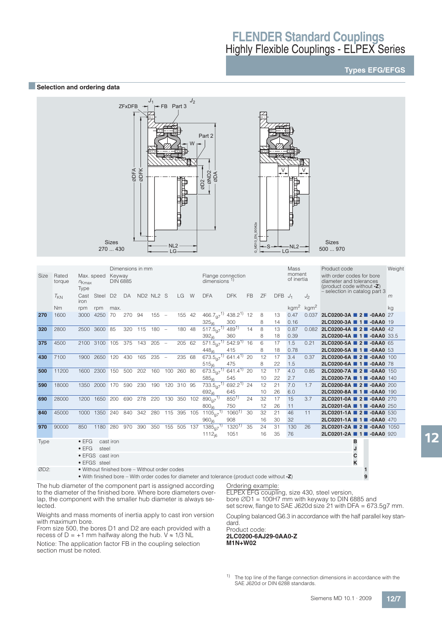## **Types EFG/EFGS**



|      | Dimensions in mm |                           |                                               |                           |     |     |                                   |                          |             |     |                                                                                                 |                |           |    |                      | Mass  |                                                                                                                    | Product code              | Weight |
|------|------------------|---------------------------|-----------------------------------------------|---------------------------|-----|-----|-----------------------------------|--------------------------|-------------|-----|-------------------------------------------------------------------------------------------------|----------------|-----------|----|----------------------|-------|--------------------------------------------------------------------------------------------------------------------|---------------------------|--------|
| Size | Rated<br>torque  | $n_{Kmax}$<br><b>Type</b> | Max. speed                                    | Keyway<br><b>DIN 6885</b> |     |     |                                   |                          |             |     | Flange connection<br>dimensions $1$ )                                                           |                |           |    | moment<br>of inertia |       | with order codes for bore<br>diameter and tolerances<br>(product code without -Z)<br>- selection in catalog part 3 |                           |        |
|      | $T_{KN}$         | Cast<br>iron              | Steel                                         | D <sub>2</sub>            | DA  |     | ND <sub>2</sub> NL <sub>2</sub> S |                          | LG          | W   | <b>DFA</b>                                                                                      | <b>DFK</b>     | <b>FB</b> | ZF | <b>DFB</b>           | $J_1$ | $J_2$                                                                                                              |                           | m      |
|      | <b>Nm</b>        | rpm                       | rpm                                           | max.                      |     |     |                                   |                          |             |     |                                                                                                 |                |           |    |                      |       | kgm <sup>2</sup> kgm <sup>2</sup>                                                                                  |                           | kg     |
| 270  | 1600             | 3000                      | 4250                                          | 70                        | 270 | 94  | $155 -$                           |                          | 155 42      |     | $466.7_{97}^{1}$ $438.2^{1}$ 12                                                                 |                |           | 8  | 13                   | 0.47  | 0.037                                                                                                              | 2LC0200-3A 2 -0AA0 27     |        |
|      |                  |                           |                                               |                           |     |     |                                   |                          |             |     | $325_{16}$                                                                                      | 300            |           | 8  | 14                   | 0.16  |                                                                                                                    | 2LC0200-3A 1 -0AA0 19     |        |
| 320  | 2800             | 2500                      | 3600                                          | 85                        | 320 | 115 | 180                               | $\overline{\phantom{a}}$ | 180         | -48 | $517.5_{97}$ <sup>TT</sup>                                                                      | 4891           | 14        | 8  | 13                   | 0.87  | 0.082                                                                                                              | 2LC0200-4A 2 -0AA0 42     |        |
|      |                  |                           |                                               |                           |     |     |                                   |                          |             |     | $392_{i6}$                                                                                      | 360            |           | 8  | 18                   | 0.39  |                                                                                                                    | 2LC0200-4A 1 1 -0AA0 33.5 |        |
| 375  | 4500             |                           | 2100 3100                                     | 105                       | 375 | 143 | 205                               | $\overline{\phantom{0}}$ | 205 62      |     | 571.5 <sub>97</sub> <sup>17</sup>                                                               | $542.9^{1}$    | 16        | 6  | 17                   | 1.5   | 0.21                                                                                                               | 2LC0200-5A 2 -0AA0 65     |        |
|      |                  |                           |                                               |                           |     |     |                                   |                          |             |     | 448 <sub>ig</sub>                                                                               | 415            |           | 8  | 18                   | 0.78  |                                                                                                                    | 2LC0200-5A 1 -0AA0 53     |        |
| 430  | 7100             |                           | 1900 2650                                     | 120                       | 430 | 165 | 235                               | $\overline{\phantom{0}}$ | 235 68      |     | $673.5_{97}^{71}$                                                                               | $641.4^{1}$    | 20        | 12 | 17                   | 3.4   | 0.37                                                                                                               | 2LC0200-6A 2 -0AA0 100    |        |
|      |                  |                           |                                               |                           |     |     |                                   |                          |             |     | 515 <sub>ig</sub>                                                                               | 475            |           | 8  | 22                   | 1.5   |                                                                                                                    | 2LC0200-6A 1 1 -0AA0 78   |        |
| 500  | 11200            | 1600                      | 2300                                          | 150                       | 500 | 202 | 160                               | 100                      | 260 80      |     | $673.5_{q7}$ <sup>1)</sup>                                                                      | $641.4^{1}$ 20 |           | 12 | 17                   | 4.0   | 0.85                                                                                                               | 2LC0200-7A 2 -0AA0 150    |        |
|      |                  |                           |                                               |                           |     |     |                                   |                          |             |     | 585 <sub>ig</sub>                                                                               | 545            |           | 10 | 22                   | 2.7   |                                                                                                                    | 2LC0200-7A 1 1 -0AA0 140  |        |
| 590  | 18000            | 1350                      | 2000                                          | 170                       | 590 | 230 | 190                               |                          | 120 310 95  |     | $733.5\overline{q7}^{1)}$                                                                       | $692.2^{1}$    | 24        | 12 | 21                   | 7.0   | 1.7                                                                                                                | 2LC0200-8A 2 -0AA0 200    |        |
|      |                  |                           |                                               |                           |     |     |                                   |                          |             |     | 692 <sub>ig</sub>                                                                               | 645            |           | 10 | 26                   | 6.0   |                                                                                                                    | 2LC0200-8A 1 -0AA0 190    |        |
| 690  | 28000            | 1200                      | 1650                                          | 200                       | 690 | 278 | 220                               | 130                      | 350 102     |     | $890_{q7}^{1}$                                                                                  | $850^{1}$      | 24        | 32 | 17                   | 15    | 3.7                                                                                                                | 2LC0201-0A 2 -0AA0 270    |        |
|      |                  |                           |                                               |                           |     |     |                                   |                          |             |     | 800 <sub>ig</sub>                                                                               | 750            |           | 12 | 26                   | 11    |                                                                                                                    | 2LC0201-0A 1 -0AA0 250    |        |
| 840  | 45000            | 1000                      | 1350                                          | 240                       | 840 | 342 | 280                               |                          | 115 395 105 |     | 1105 $_{\alpha}$ <sup>1)</sup>                                                                  | $1060^{1}$     | 30        | 32 | 21                   | 46    | 11                                                                                                                 | 2LC0201-1A 2 -0AA0 530    |        |
|      |                  |                           |                                               |                           |     |     |                                   |                          |             |     | 960 <sub>ig</sub>                                                                               | 908            |           | 16 | 30                   | 32    |                                                                                                                    | 2LC0201-1A 1 -0AA0 470    |        |
| 970  | 90000            | 850                       | 1180                                          | 280                       | 970 | 390 | 350                               | 155                      | 505         | 137 | $1385_{q7}$ <sup>1)</sup>                                                                       | $1320^{1}$     | 35        | 24 | 31                   | 130   | 26                                                                                                                 | 2LC0201-2A 2 -0AA0 1050   |        |
|      |                  |                           |                                               |                           |     |     |                                   |                          |             |     | $1112_{i6}$                                                                                     | 1051           |           | 16 | 35                   | 76    |                                                                                                                    | 2LC0201-2A 1 1 -0AA0 920  |        |
| Type |                  | $\bullet$ EFG             |                                               | cast iron                 |     |     |                                   |                          |             |     |                                                                                                 |                |           |    |                      |       |                                                                                                                    | в                         |        |
|      |                  | $\bullet$ EFG             | steel                                         |                           |     |     |                                   |                          |             |     |                                                                                                 |                |           |    |                      |       |                                                                                                                    | J                         |        |
|      |                  | $\bullet$ EFGS            |                                               | cast iron                 |     |     |                                   |                          |             |     |                                                                                                 |                |           |    |                      |       |                                                                                                                    | C                         |        |
|      |                  |                           | • EFGS steel                                  |                           |     |     |                                   |                          |             |     |                                                                                                 |                |           |    |                      |       |                                                                                                                    | K                         |        |
| ØD2: |                  |                           | • Without finished bore – Without order codes |                           |     |     |                                   |                          |             |     |                                                                                                 |                |           |    |                      |       |                                                                                                                    |                           |        |
|      |                  |                           |                                               |                           |     |     |                                   |                          |             |     | • With finished bore – With order codes for diameter and tolerance (product code without $-Z$ ) |                |           |    |                      |       |                                                                                                                    | 9                         |        |

12

The hub diameter of the component part is assigned according to the diameter of the finished bore. Where bore diameters overlap, the component with the smaller hub diameter is always selected.

Weights and mass moments of inertia apply to cast iron version with maximum bore.

From size 500, the bores D1 and D2 are each provided with a recess of D = +1 mm halfway along the hub.  $V \approx 1/3$  NL

Notice: The application factor FB in the coupling selection section must be noted.

Ordering example:

ELPEX EFG coupling, size 430, steel version, bore  $\emptyset$ D1 = 100H7 mm with keyway to DIN 6885 and set screw, flange to SAE J620d size 21 with DFA = 673.5g7 mm.

Coupling balanced G6.3 in accordance with the half parallel key stan-

dard. Product code: **2LC0200-6AJ29-0AA0-Z M1N+W02**

1) The top line of the flange connection dimensions in accordance with the SAE J620d or DIN 6288 standards.